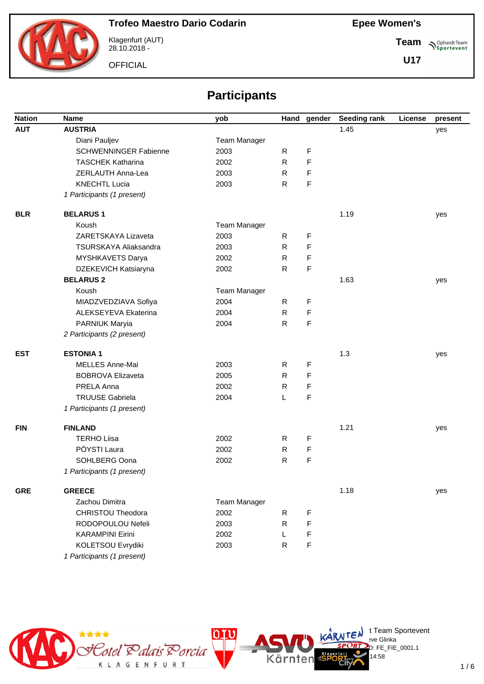

Klagenfurt (AUT) 28.10.2018 -

**OFFICIAL** 

**Team Sportevent** 

**U17**

# **Participants**

| <b>Nation</b> | <b>Name</b>                  | yob                 | Hand         | gender | Seeding rank | License | present |
|---------------|------------------------------|---------------------|--------------|--------|--------------|---------|---------|
| <b>AUT</b>    | <b>AUSTRIA</b>               |                     |              |        | 1.45         |         | yes     |
|               | Diani Pauljev                | <b>Team Manager</b> |              |        |              |         |         |
|               | <b>SCHWENNINGER Fabienne</b> | 2003                | R            | F      |              |         |         |
|               | <b>TASCHEK Katharina</b>     | 2002                | $\mathsf{R}$ | F      |              |         |         |
|               | ZERLAUTH Anna-Lea            | 2003                | R.           | F      |              |         |         |
|               | <b>KNECHTL Lucia</b>         | 2003                | R.           | F      |              |         |         |
|               | 1 Participants (1 present)   |                     |              |        |              |         |         |
| <b>BLR</b>    | <b>BELARUS1</b>              |                     |              |        | 1.19         |         | yes     |
|               | Koush                        | Team Manager        |              |        |              |         |         |
|               | ZARETSKAYA Lizaveta          | 2003                | R            | F      |              |         |         |
|               | TSURSKAYA Aliaksandra        | 2003                | $\mathsf{R}$ | F      |              |         |         |
|               | MYSHKAVETS Darya             | 2002                | R            | F      |              |         |         |
|               | DZEKEVICH Katsiaryna         | 2002                | R            | F      |              |         |         |
|               | <b>BELARUS 2</b>             |                     |              |        | 1.63         |         | yes     |
|               | Koush                        | <b>Team Manager</b> |              |        |              |         |         |
|               | MIADZVEDZIAVA Sofiya         | 2004                | R            | F      |              |         |         |
|               | ALEKSEYEVA Ekaterina         | 2004                | R.           | F      |              |         |         |
|               | PARNIUK Maryia               | 2004                | R            | F      |              |         |         |
|               | 2 Participants (2 present)   |                     |              |        |              |         |         |
| <b>EST</b>    | <b>ESTONIA1</b>              |                     |              |        | 1.3          |         | yes     |
|               | MELLES Anne-Mai              | 2003                | R.           | F      |              |         |         |
|               | <b>BOBROVA Elizaveta</b>     | 2005                | R            | F      |              |         |         |
|               | PRELA Anna                   | 2002                | R            | F      |              |         |         |
|               | <b>TRUUSE Gabriela</b>       | 2004                | L            | F      |              |         |         |
|               | 1 Participants (1 present)   |                     |              |        |              |         |         |
| <b>FIN</b>    | <b>FINLAND</b>               |                     |              |        | 1.21         |         | yes     |
|               | <b>TERHO Liisa</b>           | 2002                | R.           | F      |              |         |         |
|               | PÖYSTI Laura                 | 2002                | R            | F      |              |         |         |
|               | SOHLBERG Oona                | 2002                | R            | F      |              |         |         |
|               | 1 Participants (1 present)   |                     |              |        |              |         |         |
| <b>GRE</b>    | <b>GREECE</b>                |                     |              |        | 1.18         |         | yes     |
|               | Zachou Dimitra               | Team Manager        |              |        |              |         |         |
|               | <b>CHRISTOU Theodora</b>     | 2002                | R            | F      |              |         |         |
|               | RODOPOULOU Nefeli            | 2003                | R.           | F      |              |         |         |
|               | <b>KARAMPINI Eirini</b>      | 2002                | L            | F      |              |         |         |
|               | KOLETSOU Evrydiki            | 2003                | R            | F      |              |         |         |
|               | 1 Participants (1 present)   |                     |              |        |              |         |         |



 $\bigcup_{v \in \mathcal{F}} \mathsf{Id}$  t Team Sportevent

14:58

.<br>D: FE\_FIE\_0001.1

**N'Y'License:** Bye Glinka

Kärnten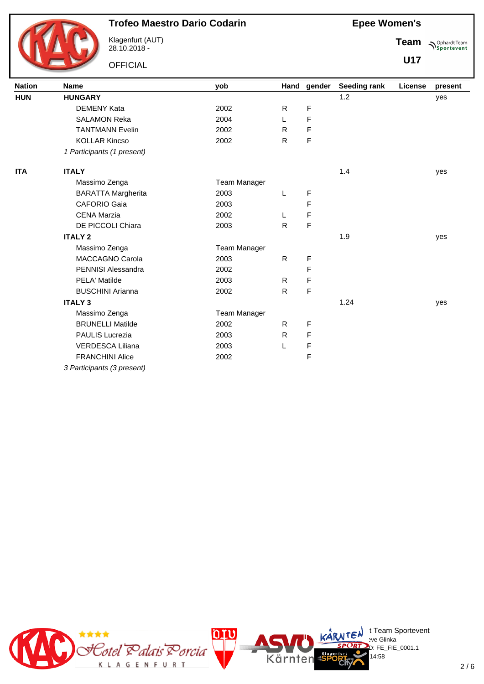

Klagenfurt (AUT) 28.10.2018 -

**OFFICIAL** 

**Epee Women's**

**Team Sportevent** 

| <b>Nation</b> | <b>Name</b>                | yob          |              | Hand gender | Seeding rank | License | present |
|---------------|----------------------------|--------------|--------------|-------------|--------------|---------|---------|
| <b>HUN</b>    | <b>HUNGARY</b>             |              |              |             | 1.2          |         | yes     |
|               | <b>DEMENY Kata</b>         | 2002         | R.           | F           |              |         |         |
|               | <b>SALAMON Reka</b>        | 2004         | L            | F           |              |         |         |
|               | <b>TANTMANN Evelin</b>     | 2002         | R.           | F           |              |         |         |
|               | <b>KOLLAR Kincso</b>       | 2002         | R.           | F           |              |         |         |
|               | 1 Participants (1 present) |              |              |             |              |         |         |
| <b>ITA</b>    | <b>ITALY</b>               |              |              |             | 1.4          |         | yes     |
|               | Massimo Zenga              | Team Manager |              |             |              |         |         |
|               | <b>BARATTA Margherita</b>  | 2003         | L            | F           |              |         |         |
|               | <b>CAFORIO Gaia</b>        | 2003         |              | F           |              |         |         |
|               | <b>CENA Marzia</b>         | 2002         | L            | F           |              |         |         |
|               | DE PICCOLI Chiara          | 2003         | R            | F           |              |         |         |
|               | <b>ITALY 2</b>             |              |              |             | 1.9          |         | yes     |
|               | Massimo Zenga              | Team Manager |              |             |              |         |         |
|               | <b>MACCAGNO Carola</b>     | 2003         | $\mathsf{R}$ | F           |              |         |         |
|               | PENNISI Alessandra         | 2002         |              | F           |              |         |         |
|               | PELA' Matilde              | 2003         | R.           | F           |              |         |         |
|               | <b>BUSCHINI Arianna</b>    | 2002         | R            | F           |              |         |         |
|               | <b>ITALY 3</b>             |              |              |             | 1.24         |         | yes     |
|               | Massimo Zenga              | Team Manager |              |             |              |         |         |
|               | <b>BRUNELLI Matilde</b>    | 2002         | R            | F           |              |         |         |
|               | PAULIS Lucrezia            | 2003         | R.           | F           |              |         |         |
|               | <b>VERDESCA Liliana</b>    | 2003         | L            | F           |              |         |         |
|               | <b>FRANCHINI Alice</b>     | 2002         |              | F           |              |         |         |
|               | 3 Participants (3 present) |              |              |             |              |         |         |

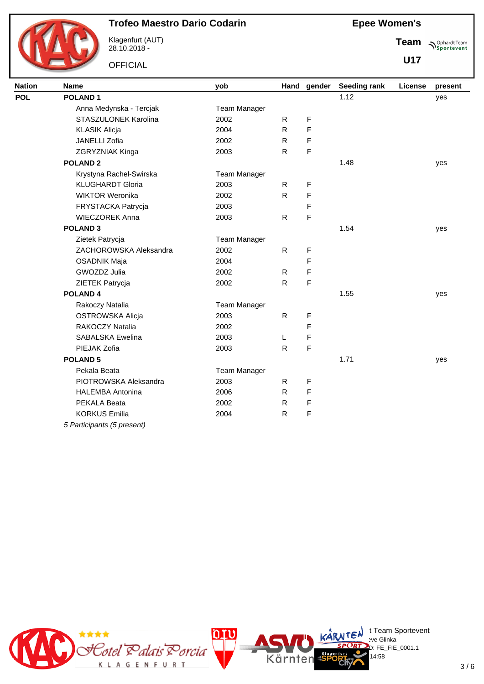

Klagenfurt (AUT) 28.10.2018 -

**OFFICIAL** 

**Epee Women's**

**Team Sportevent** 

| <b>Nation</b> | <b>Name</b>                | yob                 |              | Hand gender | <b>Seeding rank</b> | License | present |
|---------------|----------------------------|---------------------|--------------|-------------|---------------------|---------|---------|
| <b>POL</b>    | <b>POLAND1</b>             |                     |              |             | 1.12                |         | yes     |
|               | Anna Medynska - Tercjak    | <b>Team Manager</b> |              |             |                     |         |         |
|               | STASZULONEK Karolina       | 2002                | R.           | F           |                     |         |         |
|               | <b>KLASIK Alicja</b>       | 2004                | $\mathsf{R}$ | F           |                     |         |         |
|               | JANELLI Zofia              | 2002                | R            | F           |                     |         |         |
|               | ZGRYZNIAK Kinga            | 2003                | $\mathsf{R}$ | F           |                     |         |         |
|               | <b>POLAND2</b>             |                     |              |             | 1.48                |         | yes     |
|               | Krystyna Rachel-Swirska    | <b>Team Manager</b> |              |             |                     |         |         |
|               | <b>KLUGHARDT Gloria</b>    | 2003                | $\mathsf{R}$ | F           |                     |         |         |
|               | <b>WIKTOR Weronika</b>     | 2002                | $\mathsf{R}$ | F           |                     |         |         |
|               | FRYSTACKA Patrycja         | 2003                |              | F           |                     |         |         |
|               | <b>WIECZOREK Anna</b>      | 2003                | $\mathsf{R}$ | F           |                     |         |         |
|               | <b>POLAND 3</b>            |                     |              |             | 1.54                |         | yes     |
|               | Zietek Patrycja            | Team Manager        |              |             |                     |         |         |
|               | ZACHOROWSKA Aleksandra     | 2002                | $\mathsf{R}$ | F           |                     |         |         |
|               | <b>OSADNIK Maja</b>        | 2004                |              | F           |                     |         |         |
|               | GWOZDZ Julia               | 2002                | R            | F           |                     |         |         |
|               | ZIETEK Patrycja            | 2002                | $\mathsf{R}$ | F           |                     |         |         |
|               | <b>POLAND4</b>             |                     |              |             | 1.55                |         | yes     |
|               | Rakoczy Natalia            | <b>Team Manager</b> |              |             |                     |         |         |
|               | <b>OSTROWSKA Alicja</b>    | 2003                | $\mathsf{R}$ | F           |                     |         |         |
|               | <b>RAKOCZY Natalia</b>     | 2002                |              | F           |                     |         |         |
|               | <b>SABALSKA Ewelina</b>    | 2003                | L            | F           |                     |         |         |
|               | PIEJAK Zofia               | 2003                | $\mathsf{R}$ | F           |                     |         |         |
|               | <b>POLAND 5</b>            |                     |              |             | 1.71                |         | yes     |
|               | Pekala Beata               | <b>Team Manager</b> |              |             |                     |         |         |
|               | PIOTROWSKA Aleksandra      | 2003                | R            | F           |                     |         |         |
|               | <b>HALEMBA Antonina</b>    | 2006                | R            | F           |                     |         |         |
|               | PEKALA Beata               | 2002                | R            | F           |                     |         |         |
|               | <b>KORKUS Emilia</b>       | 2004                | $\mathsf{R}$ | F           |                     |         |         |
|               | 5 Participants (5 present) |                     |              |             |                     |         |         |

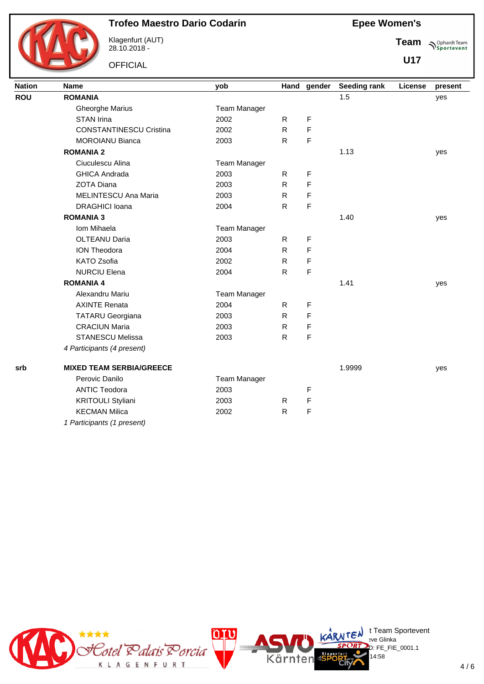

Klagenfurt (AUT) 28.10.2018 -

**OFFICIAL** 

|  |  | <b>Epee Women's</b> |  |
|--|--|---------------------|--|
|--|--|---------------------|--|

**Team Sportevent** 

| <b>Nation</b> | <b>Name</b>                     | yob          |    | Hand gender | Seeding rank | License | present |
|---------------|---------------------------------|--------------|----|-------------|--------------|---------|---------|
| <b>ROU</b>    | <b>ROMANIA</b>                  |              |    |             | 1.5          |         | yes     |
|               | <b>Gheorghe Marius</b>          | Team Manager |    |             |              |         |         |
|               | <b>STAN Irina</b>               | 2002         | R. | F           |              |         |         |
|               | <b>CONSTANTINESCU Cristina</b>  | 2002         | R. | F           |              |         |         |
|               | <b>MOROIANU Bianca</b>          | 2003         | R  | F           |              |         |         |
|               | <b>ROMANIA 2</b>                |              |    |             | 1.13         |         | yes     |
|               | Ciuculescu Alina                | Team Manager |    |             |              |         |         |
|               | <b>GHICA Andrada</b>            | 2003         | R  | F           |              |         |         |
|               | <b>ZOTA Diana</b>               | 2003         | R. | F           |              |         |         |
|               | MELINTESCU Ana Maria            | 2003         | R. | F           |              |         |         |
|               | <b>DRAGHICI</b> Ioana           | 2004         | R  | F           |              |         |         |
|               | <b>ROMANIA 3</b>                |              |    |             | 1.40         |         | yes     |
|               | Iom Mihaela                     | Team Manager |    |             |              |         |         |
|               | <b>OLTEANU Daria</b>            | 2003         | R  | F           |              |         |         |
|               | <b>ION Theodora</b>             | 2004         | R. | F           |              |         |         |
|               | <b>KATO Zsofia</b>              | 2002         | R  | F           |              |         |         |
|               | <b>NURCIU Elena</b>             | 2004         | R. | F           |              |         |         |
|               | <b>ROMANIA 4</b>                |              |    |             | 1.41         |         | yes     |
|               | Alexandru Mariu                 | Team Manager |    |             |              |         |         |
|               | <b>AXINTE Renata</b>            | 2004         | R. | F           |              |         |         |
|               | <b>TATARU Georgiana</b>         | 2003         | R. | F           |              |         |         |
|               | <b>CRACIUN Maria</b>            | 2003         | R  | F           |              |         |         |
|               | <b>STANESCU Melissa</b>         | 2003         | R. | F           |              |         |         |
|               | 4 Participants (4 present)      |              |    |             |              |         |         |
| srb           | <b>MIXED TEAM SERBIA/GREECE</b> |              |    |             | 1.9999       |         | yes     |
|               | Perovic Danilo                  | Team Manager |    |             |              |         |         |
|               | <b>ANTIC Teodora</b>            | 2003         |    | F           |              |         |         |
|               | <b>KRITOULI Styliani</b>        | 2003         | R  | F           |              |         |         |
|               | <b>KECMAN Milica</b>            | 2002         | R. | F           |              |         |         |
|               | 1 Participants (1 present)      |              |    |             |              |         |         |

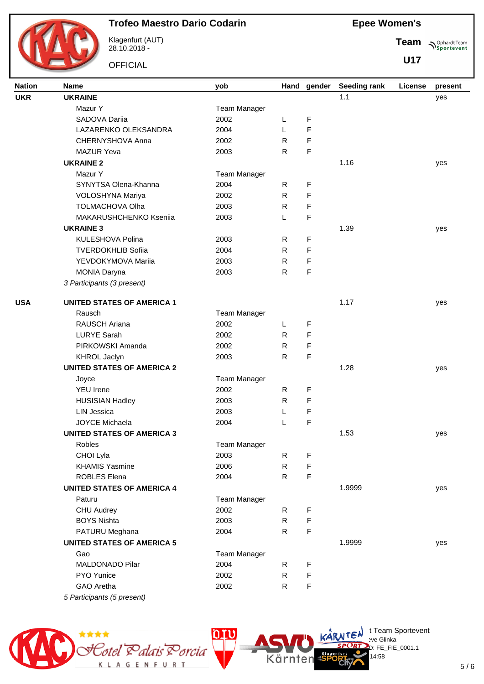

Klagenfurt (AUT) 28.10.2018 -

**OFFICIAL** 

**Epee Women's**

**Team Sportevent** 

**U17**

| <b>Nation</b> | Name                              | yob          | Hand         | gender      | Seeding rank | License | present |
|---------------|-----------------------------------|--------------|--------------|-------------|--------------|---------|---------|
| <b>UKR</b>    | <b>UKRAINE</b>                    |              |              |             | 1.1          |         | yes     |
|               | Mazur Y                           | Team Manager |              |             |              |         |         |
|               | SADOVA Dariia                     | 2002         | L            | F           |              |         |         |
|               | LAZARENKO OLEKSANDRA              | 2004         | L            | F           |              |         |         |
|               | CHERNYSHOVA Anna                  | 2002         | R            | F           |              |         |         |
|               | <b>MAZUR Yeva</b>                 | 2003         | R            | F           |              |         |         |
|               | <b>UKRAINE 2</b>                  |              |              |             | 1.16         |         | yes     |
|               | Mazur Y                           | Team Manager |              |             |              |         |         |
|               | SYNYTSA Olena-Khanna              | 2004         | R            | F           |              |         |         |
|               | VOLOSHYNA Mariya                  | 2002         | R            | F           |              |         |         |
|               | <b>TOLMACHOVA Olha</b>            | 2003         | R            | F           |              |         |         |
|               | MAKARUSHCHENKO Kseniia            | 2003         | L            | F           |              |         |         |
|               | <b>UKRAINE 3</b>                  |              |              |             | 1.39         |         | yes     |
|               | KULESHOVA Polina                  | 2003         | R            | F           |              |         |         |
|               | <b>TVERDOKHLIB Sofiia</b>         | 2004         | $\mathsf{R}$ | F           |              |         |         |
|               | YEVDOKYMOVA Mariia                | 2003         | R            | F           |              |         |         |
|               | <b>MONIA Daryna</b>               | 2003         | R.           | F           |              |         |         |
|               | 3 Participants (3 present)        |              |              |             |              |         |         |
|               |                                   |              |              |             |              |         |         |
| <b>USA</b>    | <b>UNITED STATES OF AMERICA 1</b> |              |              |             | 1.17         |         | yes     |
|               | Rausch                            | Team Manager |              |             |              |         |         |
|               | <b>RAUSCH Ariana</b>              | 2002         | L            | F           |              |         |         |
|               | <b>LURYE Sarah</b>                | 2002         | R.           | F           |              |         |         |
|               | PIRKOWSKI Amanda                  | 2002         | R            | F           |              |         |         |
|               | KHROL Jaclyn                      | 2003         | R            | F           |              |         |         |
|               | <b>UNITED STATES OF AMERICA 2</b> |              |              |             | 1.28         |         | yes     |
|               | Joyce                             | Team Manager |              |             |              |         |         |
|               | <b>YEU Irene</b>                  | 2002         | R.           | F           |              |         |         |
|               | <b>HUSISIAN Hadley</b>            | 2003         | R            | F           |              |         |         |
|               | <b>LIN Jessica</b>                | 2003         | L            | F           |              |         |         |
|               | <b>JOYCE Michaela</b>             | 2004         | L            | F           |              |         |         |
|               | <b>UNITED STATES OF AMERICA 3</b> |              |              |             | 1.53         |         | yes     |
|               | Robles                            | Team Manager |              |             |              |         |         |
|               | CHOI Lyla                         | 2003         | R.           | F           |              |         |         |
|               | <b>KHAMIS Yasmine</b>             | 2006         | $\mathsf{R}$ | F           |              |         |         |
|               | <b>ROBLES Elena</b>               | 2004         | R            | F           |              |         |         |
|               | <b>UNITED STATES OF AMERICA 4</b> |              |              |             | 1.9999       |         | yes     |
|               | Paturu                            | Team Manager |              |             |              |         |         |
|               | CHU Audrey                        | 2002         | R            | F           |              |         |         |
|               | <b>BOYS Nishta</b>                | 2003         | R            | F           |              |         |         |
|               | PATURU Meghana                    | 2004         | R            | F           |              |         |         |
|               | <b>UNITED STATES OF AMERICA 5</b> |              |              |             | 1.9999       |         | yes     |
|               | Gao                               | Team Manager |              |             |              |         |         |
|               | MALDONADO Pilar                   | 2004         | R.           | F           |              |         |         |
|               | PYO Yunice                        | 2002         | R            | F           |              |         |         |
|               | GAO Aretha                        | 2002         | R.           | $\mathsf F$ |              |         |         |
|               | 5 Participants (5 present)        |              |              |             |              |         |         |



 $\bigcup_{v \in \mathcal{F}} \mathsf{Id}$  t Team Sportevent

14:58

.<br>D: FE\_FIE\_0001.1

**N'Y'License:** Bye Glinka

Kärnten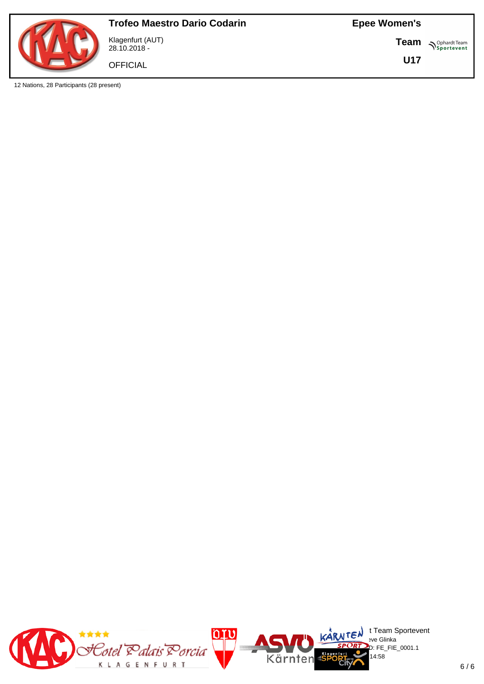

12 Nations, 28 Participants (28 present)

Klagenfurt (AUT) 28.10.2018 -

**OFFICIAL** 

**Epee Women's**

**Team Sportevent** 

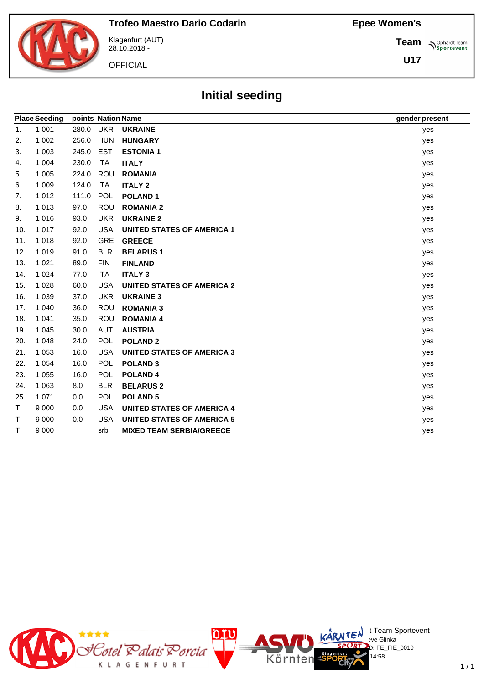**Team**

**U17**

**Sportevent** 



Klagenfurt (AUT) 28.10.2018 -

**OFFICIAL** 

# **Initial seeding**

|     | <b>Place Seeding</b> | points Nation Name |            |                                   | gender present |
|-----|----------------------|--------------------|------------|-----------------------------------|----------------|
| 1.  | 1 0 0 1              | 280.0              | UKR        | <b>UKRAINE</b>                    | yes            |
| 2.  | 1 0 0 2              | 256.0              | <b>HUN</b> | <b>HUNGARY</b>                    | yes            |
| 3.  | 1 0 0 3              | 245.0              | <b>EST</b> | <b>ESTONIA1</b>                   | yes            |
| 4.  | 1 0 0 4              | 230.0              | <b>ITA</b> | <b>ITALY</b>                      | yes            |
| 5.  | 1 0 0 5              | 224.0              | ROU        | <b>ROMANIA</b>                    | yes            |
| 6.  | 1 0 0 9              | 124.0              | <b>ITA</b> | <b>ITALY 2</b>                    | yes            |
| 7.  | 1 0 1 2              | 111.0              | POL        | <b>POLAND1</b>                    | yes            |
| 8.  | 1 0 1 3              | 97.0               | <b>ROU</b> | <b>ROMANIA 2</b>                  | yes            |
| 9.  | 1016                 | 93.0               | <b>UKR</b> | <b>UKRAINE 2</b>                  | yes            |
| 10. | 1 0 1 7              | 92.0               | <b>USA</b> | <b>UNITED STATES OF AMERICA 1</b> | yes            |
| 11. | 1018                 | 92.0               | <b>GRE</b> | <b>GREECE</b>                     | yes            |
| 12. | 1 0 1 9              | 91.0               | <b>BLR</b> | <b>BELARUS1</b>                   | yes            |
| 13. | 1 0 2 1              | 89.0               | <b>FIN</b> | <b>FINLAND</b>                    | yes            |
| 14. | 1 0 2 4              | 77.0               | <b>ITA</b> | <b>ITALY 3</b>                    | yes            |
| 15. | 1 0 2 8              | 60.0               | <b>USA</b> | <b>UNITED STATES OF AMERICA 2</b> | yes            |
| 16. | 1 0 3 9              | 37.0               | <b>UKR</b> | <b>UKRAINE 3</b>                  | yes            |
| 17. | 1 0 4 0              | 36.0               | ROU        | <b>ROMANIA 3</b>                  | yes            |
| 18. | 1 0 4 1              | 35.0               | <b>ROU</b> | <b>ROMANIA 4</b>                  | yes            |
| 19. | 1 0 4 5              | 30.0               | <b>AUT</b> | <b>AUSTRIA</b>                    | yes            |
| 20. | 1 0 4 8              | 24.0               | <b>POL</b> | <b>POLAND 2</b>                   | yes            |
| 21. | 1 0 5 3              | 16.0               | <b>USA</b> | <b>UNITED STATES OF AMERICA 3</b> | yes            |
| 22. | 1 0 5 4              | 16.0               | POL        | <b>POLAND 3</b>                   | yes            |
| 23. | 1 0 5 5              | 16.0               | POL        | <b>POLAND4</b>                    | yes            |
| 24. | 1 0 6 3              | 8.0                | <b>BLR</b> | <b>BELARUS 2</b>                  | yes            |
| 25. | 1 0 7 1              | 0.0                | <b>POL</b> | <b>POLAND 5</b>                   | yes            |
| Τ   | 9 0 0 0              | 0.0                | <b>USA</b> | <b>UNITED STATES OF AMERICA 4</b> | yes            |
| т   | 9 0 0 0              | 0.0                | <b>USA</b> | <b>UNITED STATES OF AMERICA 5</b> | yes            |
| T   | 9 0 0 0              |                    | srb        | <b>MIXED TEAM SERBIA/GREECE</b>   | yes            |

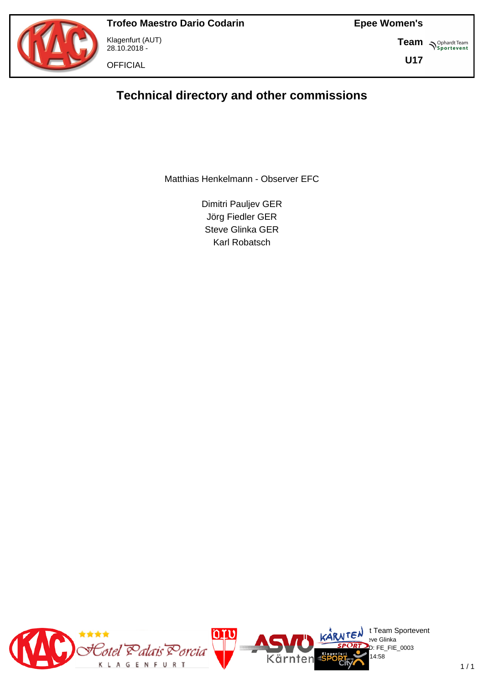



Klagenfurt (AUT) 28.10.2018 -

**OFFICIAL** 

**Team S**<sup>Ophardt Team</sub></sup>

**U17**

# **Technical directory and other commissions**

Matthias Henkelmann - Observer EFC

Dimitri Pauljev GER Jörg Fiedler GER Steve Glinka GER Karl Robatsch

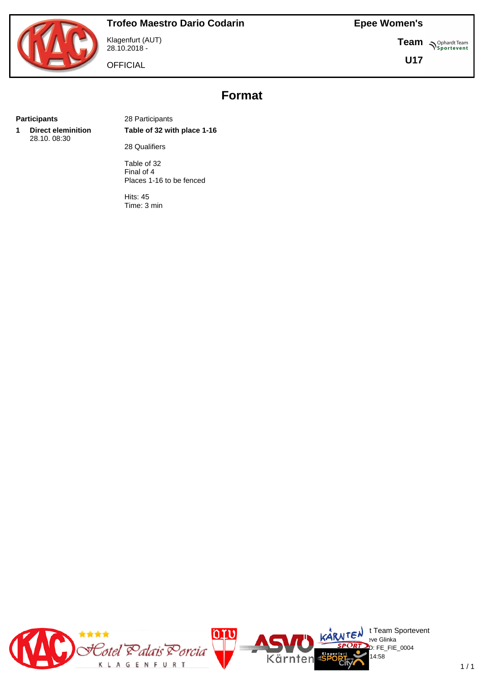

Klagenfurt (AUT) 28.10.2018 -

**OFFICIAL** 

**Team N**Sportevent

**U17**

# **Format**

**1 Direct eleminition** 28.10. 08:30

**Participants** 28 Participants **Table of 32 with place 1-16**

28 Qualifiers

Table of 32 Final of 4 Places 1-16 to be fenced

Hits: 45 Time: 3 min

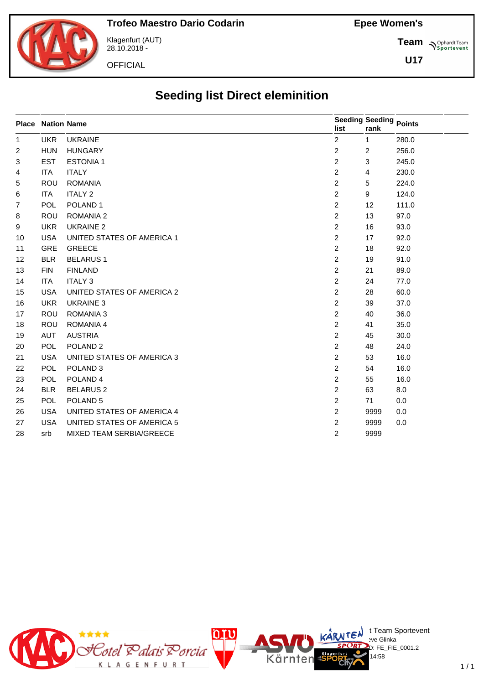**Team** *S<sup>Ophardt Team*<br> *S*<sup>P</sup> Sportevent</sup>

**U17**



Klagenfurt (AUT) 28.10.2018 -

**OFFICIAL** 

# **Seeding list Direct eleminition**

|              | <b>Place Nation Name</b> |                                 | Seeding Seeding Points |                |       |
|--------------|--------------------------|---------------------------------|------------------------|----------------|-------|
|              |                          |                                 | list                   | rank           |       |
| $\mathbf{1}$ | <b>UKR</b>               | <b>UKRAINE</b>                  | $\overline{2}$         | $\mathbf{1}$   | 280.0 |
| 2            | <b>HUN</b>               | <b>HUNGARY</b>                  | $\overline{2}$         | $\overline{2}$ | 256.0 |
| 3            | <b>EST</b>               | <b>ESTONIA1</b>                 | $\overline{2}$         | 3              | 245.0 |
| 4            | <b>ITA</b>               | <b>ITALY</b>                    | $\overline{2}$         | 4              | 230.0 |
| 5            | <b>ROU</b>               | <b>ROMANIA</b>                  | $\overline{2}$         | 5              | 224.0 |
| 6            | <b>ITA</b>               | <b>ITALY 2</b>                  | $\overline{2}$         | 9              | 124.0 |
| 7            | <b>POL</b>               | POLAND <sub>1</sub>             | $\overline{2}$         | 12             | 111.0 |
| 8            | <b>ROU</b>               | <b>ROMANIA 2</b>                | $\overline{2}$         | 13             | 97.0  |
| 9            | <b>UKR</b>               | <b>UKRAINE 2</b>                | $\overline{2}$         | 16             | 93.0  |
| 10           | <b>USA</b>               | UNITED STATES OF AMERICA 1      | $\overline{2}$         | 17             | 92.0  |
| 11           | <b>GRE</b>               | <b>GREECE</b>                   | $\overline{2}$         | 18             | 92.0  |
| 12           | <b>BLR</b>               | <b>BELARUS1</b>                 | $\overline{2}$         | 19             | 91.0  |
| 13           | <b>FIN</b>               | <b>FINLAND</b>                  | $\overline{2}$         | 21             | 89.0  |
| 14           | <b>ITA</b>               | <b>ITALY 3</b>                  | $\overline{2}$         | 24             | 77.0  |
| 15           | <b>USA</b>               | UNITED STATES OF AMERICA 2      | $\overline{2}$         | 28             | 60.0  |
| 16           | <b>UKR</b>               | <b>UKRAINE 3</b>                | $\overline{2}$         | 39             | 37.0  |
| 17           | <b>ROU</b>               | <b>ROMANIA 3</b>                | $\overline{2}$         | 40             | 36.0  |
| 18           | <b>ROU</b>               | <b>ROMANIA 4</b>                | $\overline{2}$         | 41             | 35.0  |
| 19           | AUT                      | <b>AUSTRIA</b>                  | $\overline{2}$         | 45             | 30.0  |
| 20           | <b>POL</b>               | POLAND <sub>2</sub>             | $\overline{2}$         | 48             | 24.0  |
| 21           | <b>USA</b>               | UNITED STATES OF AMERICA 3      | 2                      | 53             | 16.0  |
| 22           | <b>POL</b>               | POLAND <sub>3</sub>             | $\overline{2}$         | 54             | 16.0  |
| 23           | <b>POL</b>               | POLAND <sub>4</sub>             | 2                      | 55             | 16.0  |
| 24           | <b>BLR</b>               | <b>BELARUS 2</b>                | $\overline{2}$         | 63             | 8.0   |
| 25           | POL                      | POLAND <sub>5</sub>             | $\overline{2}$         | 71             | 0.0   |
| 26           | <b>USA</b>               | UNITED STATES OF AMERICA 4      | $\overline{2}$         | 9999           | 0.0   |
| 27           | <b>USA</b>               | UNITED STATES OF AMERICA 5      | 2                      | 9999           | 0.0   |
| 28           | srb                      | <b>MIXED TEAM SERBIA/GREECE</b> | $\overline{2}$         | 9999           |       |
|              |                          |                                 |                        |                |       |

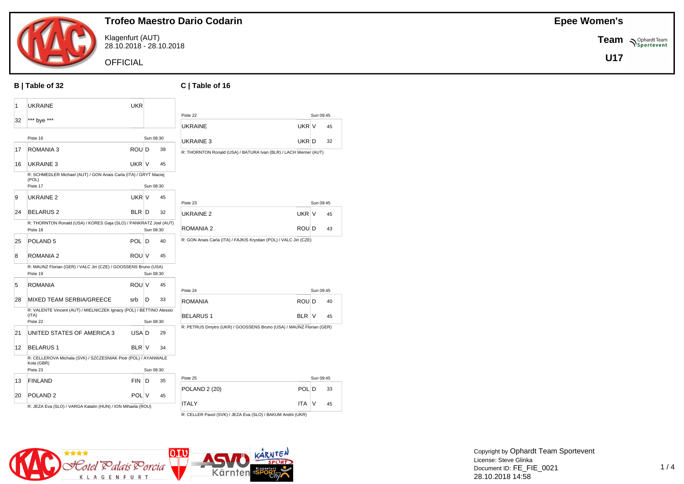

Klagenfurt (AUT) 28.10.2018 - 28.10.2018

**OFFICIAL** 

#### **B | Table of 32 C | Table of 16**

| 1  | UKRAINE                                                                               | <b>UKR</b>   |           |    |                                                                     |       |           |    |
|----|---------------------------------------------------------------------------------------|--------------|-----------|----|---------------------------------------------------------------------|-------|-----------|----|
| 32 |                                                                                       |              |           |    | Piste 22                                                            |       | Sun 09:45 |    |
|    | *** bye ***                                                                           |              |           |    | <b>UKRAINE</b>                                                      | UKR V |           | 45 |
|    | Piste 16                                                                              |              | Sun 08:30 |    | UKRAINE 3                                                           | UKR D |           | 32 |
| 17 | ROMANIA 3                                                                             | ROU D        |           | 39 | R: THORNTON Ronald (USA) / BATURA Ivan (BLR) / LACH Werner (AUT)    |       |           |    |
| 16 | <b>UKRAINE 3</b>                                                                      | UKR V        |           | 45 |                                                                     |       |           |    |
|    | R: SCHMEDLER Michael (AUT) / GON Anais Carla (ITA) / GRYT Maciej<br>(POL)<br>Piste 17 |              |           |    |                                                                     |       |           |    |
|    |                                                                                       |              | Sun 08:30 |    |                                                                     |       |           |    |
| 9  | UKRAINE 2                                                                             | UKR V        |           | 45 | Piste 23                                                            |       | Sun 09:45 |    |
| 24 | <b>BELARUS 2</b>                                                                      | BLR D        |           | 32 | UKRAINE <sub>2</sub><br>UKR V                                       |       |           | 45 |
|    | R: THORNTON Ronald (USA) / KORES Gaja (SLO) / PANKRATZ Joel (AUT)<br>Piste 18         |              | Sun 08:30 |    | ROU D<br>ROMANIA 2                                                  |       |           | 43 |
| 25 | POLAND 5                                                                              | POL D        |           | 40 | R: GON Anais Carla (ITA) / FAJKIS Krystian (POL) / VALC Jiri (CZE)  |       |           |    |
| 8  | <b>ROMANIA 2</b>                                                                      | ROU V        |           | 45 |                                                                     |       |           |    |
|    | R: MAUNZ Florian (GER) / VALC Jiri (CZE) / GOOSSENS Bruno (USA)                       |              |           |    |                                                                     |       |           |    |
|    | Piste 19                                                                              |              | Sun 08:30 |    |                                                                     |       |           |    |
| 5  | ROMANIA                                                                               | ROU V        |           | 45 | Piste 24                                                            |       | Sun 09:45 |    |
| 28 | MIXED TEAM SERBIA/GREECE                                                              | srb          | D         | 33 | <b>ROMANIA</b><br>ROU D                                             |       |           | 40 |
|    | R: VALENTE Vincent (AUT) / MIELNICZEK Ignacy (POL) / BETTINO Alessio<br>(ITA)         |              |           |    | <b>BELARUS1</b><br>BLR V                                            |       |           | 45 |
|    | Piste 22                                                                              |              | Sun 08:30 |    |                                                                     |       |           |    |
| 21 | UNITED STATES OF AMERICA 3                                                            | USA D        |           | 29 | R: PETRUS Dmytro (UKR) / GOOSSENS Bruno (USA) / MAUNZ Florian (GER) |       |           |    |
| 12 | <b>BELARUS1</b>                                                                       | <b>BLR V</b> |           | 34 |                                                                     |       |           |    |
|    | R: CELLEROVA Michala (SVK) / SZCZESNIAK Piotr (POL) / AYANWALE<br>Kola (GBR)          |              |           |    |                                                                     |       |           |    |
|    | Piste 23                                                                              |              | Sun 08:30 |    |                                                                     |       |           |    |
| 13 | <b>FINLAND</b>                                                                        | <b>FIN</b>   | D         | 35 | Piste 25                                                            |       | Sun 09:45 |    |
| 20 | POLAND <sub>2</sub>                                                                   | POL V        |           | 45 | <b>POLAND 2 (20)</b>                                                | POL D |           | 33 |
|    | R: JEZA Eva (SLO) / VARGA Katalin (HUN) / ION Mihaela (ROU)                           |              |           |    | <b>ITALY</b><br><b>ITA</b>                                          |       | V         | 45 |
|    |                                                                                       |              |           |    |                                                                     |       |           |    |





Copyright by Ophardt Team Sportevent License: Steve Glinka Document ID: FE\_FIE\_0021 28.10.2018 14:58

#### **Epee Women's**

**Team**  $\sum_{\text{Sportevent}}$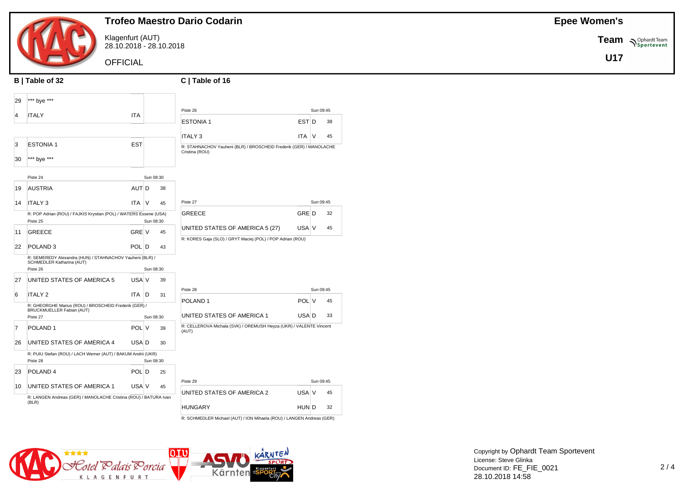

Klagenfurt (AUT) 28.10.2018 - 28.10.2018

**OFFICIAL** 

|                | B   Table of 32                                                   |            |           |    | C   Table of 16                                                                      |            |           |    |
|----------------|-------------------------------------------------------------------|------------|-----------|----|--------------------------------------------------------------------------------------|------------|-----------|----|
| 29             | *** bye ***                                                       |            |           |    |                                                                                      |            |           |    |
| 4              | <b>ITALY</b>                                                      | <b>ITA</b> |           |    | Piste 26                                                                             |            | Sun 09:45 |    |
|                |                                                                   |            |           |    | <b>ESTONIA1</b>                                                                      | EST D      |           | 38 |
|                |                                                                   |            |           |    | <b>ITALY 3</b>                                                                       | <b>ITA</b> | $\vee$    | 45 |
| 3              | <b>ESTONIA1</b>                                                   | <b>EST</b> |           |    | R: STAHNACHOV Yauheni (BLR) / BROSCHEID Frederik (GER) / MANOLACHE<br>Cristina (ROU) |            |           |    |
| 30             | *** bye ***                                                       |            |           |    |                                                                                      |            |           |    |
|                | Piste 24                                                          |            | Sun 08:30 |    |                                                                                      |            |           |    |
| 19             | <b>AUSTRIA</b>                                                    | AUT D      |           | 38 |                                                                                      |            |           |    |
|                |                                                                   |            |           |    |                                                                                      |            |           |    |
| 14             | <b>ITALY3</b>                                                     | <b>ITA</b> | $\vee$    | 45 | Piste 27                                                                             |            | Sun 09:45 |    |
|                | R: POP Adrian (ROU) / FAJKIS Krystian (POL) / WATERS Essene (USA) |            |           |    | GREECE                                                                               | GRE D      |           | 32 |
|                | Piste 25                                                          |            | Sun 08:30 |    |                                                                                      | USA V      |           | 45 |
| 11             | <b>GREECE</b>                                                     | GRE V      |           | 45 | UNITED STATES OF AMERICA 5 (27)                                                      |            |           |    |
| 22             | POLAND <sub>3</sub>                                               | POL D      |           | 43 | R: KORES Gaja (SLO) / GRYT Maciej (POL) / POP Adrian (ROU)                           |            |           |    |
|                | R: SEMEREDY Alexandra (HUN) / STAHNACHOV Yauheni (BLR) /          |            |           |    |                                                                                      |            |           |    |
|                | SCHMEDLER Katharina (AUT)<br>Piste 26                             |            | Sun 08:30 |    |                                                                                      |            |           |    |
| 27             | UNITED STATES OF AMERICA 5                                        | USA V      |           | 39 |                                                                                      |            |           |    |
|                |                                                                   |            |           |    | Piste 28                                                                             |            | Sun 09:45 |    |
| 6              | <b>ITALY 2</b>                                                    | ITA.       | ID.       | 31 |                                                                                      |            |           |    |
|                | R: GHEORGHE Marius (ROU) / BROSCHEID Frederik (GER) /             |            |           |    | POLAND <sub>1</sub>                                                                  | POL V      |           | 45 |
|                | BRUCKMUELLER Fabian (AUT)<br>Piste 27                             |            | Sun 08:30 |    | UNITED STATES OF AMERICA 1                                                           | USA D      |           | 33 |
| $\overline{7}$ | POLAND <sub>1</sub>                                               | POL V      |           | 39 | R: CELLEROVA Michala (SVK) / OREMUSH Heyza (UKR) / VALENTE Vincent<br>(AUT)          |            |           |    |
| 26             | UNITED STATES OF AMERICA 4                                        | USA D      |           | 30 |                                                                                      |            |           |    |
|                | R: PUIU Stefan (ROU) / LACH Werner (AUT) / BAKUM Andrii (UKR)     |            |           |    |                                                                                      |            |           |    |
|                | Piste 28                                                          |            | Sun 08:30 |    |                                                                                      |            |           |    |
| 23             | POLAND <sub>4</sub>                                               | POL D      |           | 25 |                                                                                      |            |           |    |
| 10             | UNITED STATES OF AMERICA 1                                        | USA V      |           | 45 | Piste 29                                                                             |            | Sun 09:45 |    |
|                | R: LANGEN Andreas (GER) / MANOLACHE Cristina (ROU) / BATURA Ivan  |            |           |    | UNITED STATES OF AMERICA 2                                                           | USA V      |           | 45 |
|                | (BLR)                                                             |            |           |    | <b>HUNGARY</b>                                                                       | HUN D      |           | 32 |
|                |                                                                   |            |           |    |                                                                                      |            |           |    |

R: SCHMEDLER Michael (AUT) / ION Mihaela (ROU) / LANGEN Andreas (GER)



**Team**  $\sum_{\text{Sportevent}}$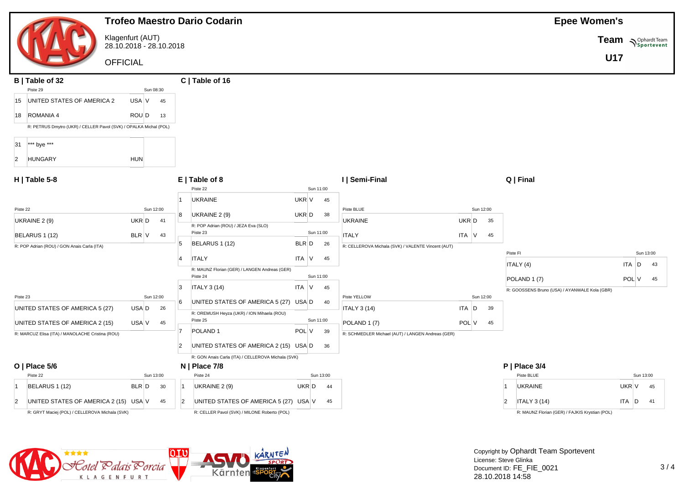|                                                                   | <b>Trofeo Maestro Dario Codarin</b>                                           | <b>Epee Women's</b>                                                         |
|-------------------------------------------------------------------|-------------------------------------------------------------------------------|-----------------------------------------------------------------------------|
| Klagenfurt (AUT)<br>28.10.2018 - 28.10.2018                       |                                                                               | Team Nophardt Team                                                          |
| <b>OFFICIAL</b>                                                   |                                                                               | <b>U17</b>                                                                  |
| B   Table of 32<br>Piste 29<br>Sun 08:30                          | C   Table of 16                                                               |                                                                             |
| UNITED STATES OF AMERICA 2<br>USA V<br>15                         |                                                                               |                                                                             |
| 18 ROMANIA 4<br>ROU D                                             |                                                                               |                                                                             |
| R: PETRUS Dmytro (UKR) / CELLER Pavol (SVK) / OPALKA Michal (POL) |                                                                               |                                                                             |
| *** bye ***<br>31                                                 |                                                                               |                                                                             |
| <b>HUN</b><br><b>HUNGARY</b><br>$\overline{2}$                    |                                                                               |                                                                             |
| $H$   Table 5-8                                                   | $E$   Table of 8<br>I   Semi-Final                                            | Q   Final                                                                   |
|                                                                   | Piste 22<br>Sun 11:00<br><b>UKRAINE</b><br>UKR V<br>45                        |                                                                             |
| Piste 22<br>Sun 12:00                                             | Piste BLUE<br>UKR D<br>UKRAINE 2 (9)<br>38<br>8                               | Sun 12:00                                                                   |
| UKRAINE 2 (9)<br>UKR D                                            | <b>UKRAINE</b><br>R: POP Adrian (ROU) / JEZA Eva (SLO)                        | UKR D<br>35                                                                 |
| BELARUS 1 (12)<br>BLR V                                           | Sun 11:00<br>Piste 23<br><b>ITALY</b>                                         | ITA V<br>45                                                                 |
| R: POP Adrian (ROU) / GON Anais Carla (ITA)                       | 5<br>BELARUS 1 (12)<br>BLR D<br>26                                            | R: CELLEROVA Michala (SVK) / VALENTE Vincent (AUT)<br>Piste FI<br>Sun 13:00 |
|                                                                   | <b>ITALY</b><br>$ITA$ $V$<br>45                                               | ITALY (4)<br>ITA<br>D<br>43                                                 |
|                                                                   | R: MAUNZ Florian (GER) / LANGEN Andreas (GER)<br>Piste 24<br>Sun 11:00        | POLAND 1 (7)<br>POL V<br>45                                                 |
|                                                                   | 3<br><b>ITALY 3 (14)</b><br>ITA<br>$\mathsf{V}$<br>45                         | R: GOOSSENS Bruno (USA) / AYANWALE Kola (GBR)                               |
| Sun 12:00<br>Piste 23                                             | Piste YELLOW<br>UNITED STATES OF AMERICA 5 (27) USA D<br>6<br>40              | Sun 12:00                                                                   |
| UNITED STATES OF AMERICA 5 (27)<br>USA D                          | <b>ITALY 3 (14)</b><br>R: OREMUSH Heyza (UKR) / ION Mihaela (ROU)             | ITA D<br>39                                                                 |
| UNITED STATES OF AMERICA 2 (15)<br>USA V                          | Piste 25<br>Sun 11:00<br>POLAND 1 (7)<br>POL V<br>POLAND <sub>1</sub><br>- 39 | POL V<br>45                                                                 |
| R: MARCUZ Elisa (ITA) / MANOLACHE Cristina (ROU)                  | UNITED STATES OF AMERICA 2 (15) USA D<br>$\overline{2}$                       | R: SCHMEDLER Michael (AUT) / LANGEN Andreas (GER)                           |
|                                                                   | 36<br>R: GON Anais Carla (ITA) / CELLEROVA Michala (SVK)                      |                                                                             |
| O   Place $5/6$                                                   | $N$   Place 7/8                                                               | $P$   Place 3/4                                                             |
| Piste 22<br>Sun 13:00                                             | Piste 24<br>Sun 13:00                                                         | Piste BLUE<br>Sun 13:00                                                     |
| BELARUS 1 (12)<br>BLR D<br>∣1                                     | UKRAINE 2 (9)<br>$UKR$ $D$ 44<br>-11                                          | <b>UKRAINE</b><br>UKR V<br>45                                               |
| $\overline{2}$<br>UNITED STATES OF AMERICA 2 (15) USA V           | $\vert$ 2<br>UNITED STATES OF AMERICA 5 (27) USA V 45                         | <b>ITALY 3 (14)</b><br>$\overline{2}$<br>ITA D<br>41                        |
| R: GRYT Maciej (POL) / CELLEROVA Michala (SVK)                    | R: CELLER Pavol (SVK) / MILONE Roberto (POL)                                  | R: MAUNZ Florian (GER) / FAJKIS Krystian (POL)                              |
|                                                                   |                                                                               |                                                                             |
|                                                                   |                                                                               |                                                                             |

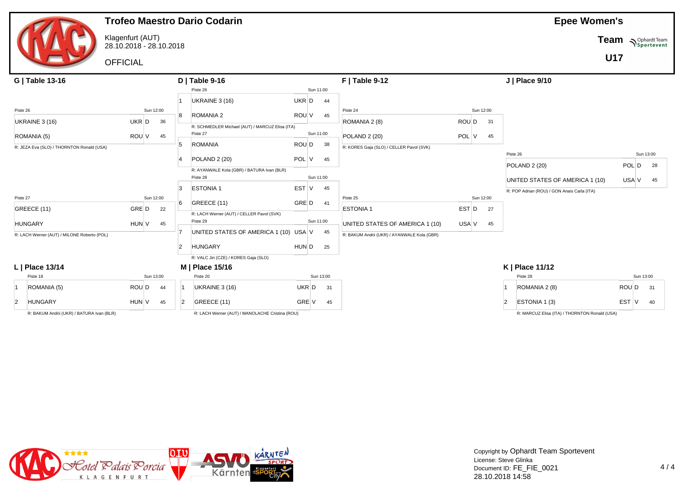

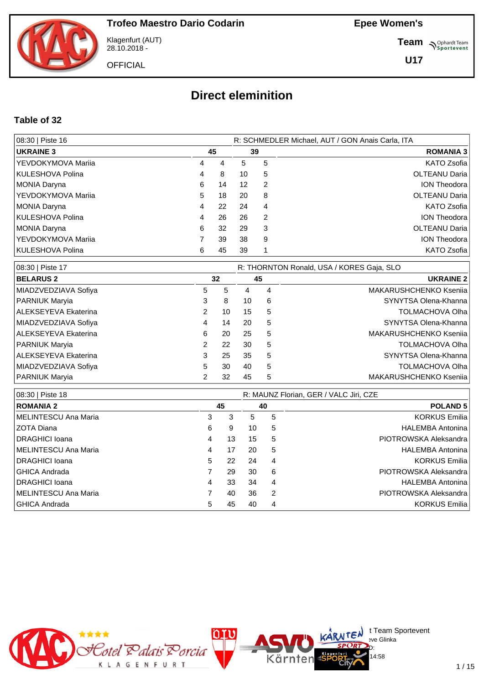

Klagenfurt (AUT) 28.10.2018 -

**OFFICIAL** 

**Team** *S<sup>Ophardt Team*<br>*S*<sup>P</sup> *Sportevent*</sup>

**U17**

# **Direct eleminition**

#### **Table of 32**

| 08:30   Piste 16     |    |    |    | R: SCHMEDLER Michael, AUT / GON Anais Carla, ITA |                      |
|----------------------|----|----|----|--------------------------------------------------|----------------------|
| <b>UKRAINE 3</b>     | 45 |    | 39 |                                                  | <b>ROMANIA 3</b>     |
| YEVDOKYMOVA Marija   | 4  | 4  | 5  | 5                                                | KATO Zsofia          |
| KULESHOVA Polina     | 4  | 8  | 10 | 5                                                | <b>OLTEANU Daria</b> |
| MONIA Daryna         | 6  | 14 | 12 | 2                                                | <b>ION Theodora</b>  |
| I YEVDOKYMOVA Marija | 5. | 18 | 20 | 8                                                | <b>OLTEANU Daria</b> |
| MONIA Daryna         | 4  | 22 | 24 | 4                                                | KATO Zsofia          |
| KULESHOVA Polina     | 4  | 26 | 26 | 2                                                | <b>ION Theodora</b>  |
| MONIA Daryna         | 6  | 32 | 29 | 3                                                | <b>OLTEANU Daria</b> |
| YEVDOKYMOVA Marija   |    | 39 | 38 | 9                                                | <b>ION Theodora</b>  |
| KULESHOVA Polina     | 6  | 45 | 39 |                                                  | <b>KATO Zsofia</b>   |

| 08:30   Piste 17     |   |    |    |   | R: THORNTON Ronald, USA / KORES Gaja, SLO |
|----------------------|---|----|----|---|-------------------------------------------|
| <b>BELARUS 2</b>     |   | 32 |    |   | <b>UKRAINE 2</b>                          |
| MIADZVEDZIAVA Sofiya | 5 | 5  | 4  | 4 | MAKARUSHCHENKO Ksenija                    |
| PARNIUK Maryia       | 3 | 8  | 10 | 6 | SYNYTSA Olena-Khanna                      |
| ALEKSEYEVA Ekaterina | 2 | 10 | 15 | 5 | <b>TOLMACHOVA Olha</b>                    |
| MIADZVEDZIAVA Sofiya | 4 | 14 | 20 | 5 | SYNYTSA Olena-Khanna                      |
| ALEKSEYEVA Ekaterina | 6 | 20 | 25 | 5 | MAKARUSHCHENKO Ksenija                    |
| PARNIUK Maryia       | 2 | 22 | 30 | 5 | <b>TOLMACHOVA Olha</b>                    |
| ALEKSEYEVA Ekaterina | 3 | 25 | 35 | 5 | SYNYTSA Olena-Khanna                      |
| MIADZVEDZIAVA Sofiya | 5 | 30 | 40 | 5 | <b>TOLMACHOVA Olha</b>                    |
| PARNIUK Maryia       | 2 | 32 | 45 | 5 | MAKARUSHCHENKO Ksenija                    |

| 08:30   Piste 18       |   |    | R: MAUNZ Florian, GER / VALC Jiri, CZE |    |                         |  |  |  |  |
|------------------------|---|----|----------------------------------------|----|-------------------------|--|--|--|--|
| <b>ROMANIA 2</b>       |   | 45 |                                        | 40 | <b>POLAND 5</b>         |  |  |  |  |
| MELINTESCU Ana Maria   | 3 | 3  | 5                                      | 5  | <b>KORKUS Emilia</b>    |  |  |  |  |
| IZOTA Diana            | 6 | 9  | 10                                     | 5  | <b>HALEMBA Antonina</b> |  |  |  |  |
| <b>IDRAGHICI Ioana</b> | 4 | 13 | 15                                     | 5  | PIOTROWSKA Aleksandra   |  |  |  |  |
| MELINTESCU Ana Maria   | 4 | 17 | 20                                     | 5  | <b>HALEMBA Antonina</b> |  |  |  |  |
| <b>IDRAGHICI Ioana</b> | 5 | 22 | 24                                     | 4  | <b>KORKUS Emilia</b>    |  |  |  |  |
| I GHICA Andrada        |   | 29 | 30                                     | 6  | PIOTROWSKA Aleksandra   |  |  |  |  |
| <b>IDRAGHICI Ioana</b> | 4 | 33 | 34                                     | 4  | <b>HALEMBA Antonina</b> |  |  |  |  |
| MELINTESCU Ana Maria   |   | 40 | 36                                     | 2  | PIOTROWSKA Aleksandra   |  |  |  |  |
| I GHICA Andrada        | 5 | 45 | 40                                     | 4  | <b>KORKUS Emilia</b>    |  |  |  |  |



 $\bigcup_{v \in \mathcal{F}} \mathsf{Id}$  t Team Sportevent

14:58

**N'Y'License:** Bye Glinka  $SPCRD<sub>D</sub>$ 

Kärnten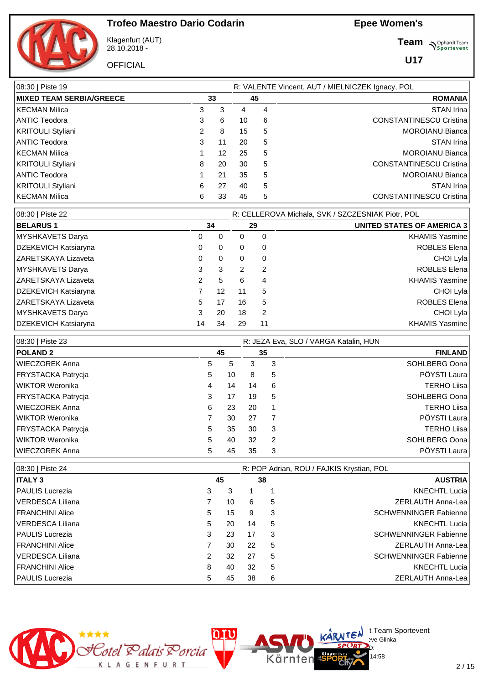

Klagenfurt (AUT) 28.10.2018 -

**OFFICIAL** 

**Team** *S<sup>Ophardt Team*<br>*S*<sup>P</sup> *Sportevent*</sup>

**U17**

| 08:30   Piste 19                |    |    |    |    | R: VALENTE Vincent, AUT / MIELNICZEK Ignacy, POL |
|---------------------------------|----|----|----|----|--------------------------------------------------|
| <b>MIXED TEAM SERBIA/GREECE</b> | 33 |    |    | 45 | <b>ROMANIA</b>                                   |
| <b>KECMAN Milica</b>            | 3  | 3  | 4  | 4  | <b>STAN Irina</b>                                |
| ANTIC Teodora                   | 3  | 6  | 10 | 6  | <b>CONSTANTINESCU Cristina</b>                   |
| <b>KRITOULI Styliani</b>        | 2  | 8  | 15 | 5  | <b>MOROIANU Bianca</b>                           |
| ANTIC Teodora                   | 3  | 11 | 20 | 5  | STAN Irina                                       |
| <b>KECMAN Milica</b>            |    | 12 | 25 | 5  | <b>MOROIANU Bianca</b>                           |
| <b>KRITOULI Styliani</b>        | 8  | 20 | 30 | 5  | <b>CONSTANTINESCU Cristina</b>                   |
| ANTIC Teodora                   |    | 21 | 35 | 5  | <b>MOROIANU Bianca</b>                           |
| <b>KRITOULI Styliani</b>        | 6  | 27 | 40 | 5  | STAN Irina                                       |
| <b>KECMAN Milica</b>            | 6  | 33 | 45 | 5  | <b>CONSTANTINESCU Cristina</b>                   |

| 08:30   Piste 22           |    |    |    |    | R: CELLEROVA Michala, SVK / SZCZESNIAK Piotr, POL |
|----------------------------|----|----|----|----|---------------------------------------------------|
| <b>BELARUS1</b>            |    | 34 |    | 29 | UNITED STATES OF AMERICA 3                        |
| MYSHKAVETS Darya           | 0  | 0  | 0  | 0  | <b>KHAMIS Yasmine</b>                             |
| DZEKEVICH Katsiaryna       | 0  | 0  | 0  | 0  | <b>ROBLES Elena</b>                               |
| ZARETSKAYA Lizaveta        | 0  | 0  | 0  | 0  | CHOI Lyla                                         |
| MYSHKAVETS Darya           | 3  | 3  | 2  | 2  | <b>ROBLES Elena</b>                               |
| <b>ZARETSKAYA Lizaveta</b> | 2  | 5  | 6  | 4  | <b>KHAMIS Yasmine</b>                             |
| DZEKEVICH Katsiaryna       |    | 12 | 11 | 5  | CHOI Lyla                                         |
| IZARETSKAYA Lizaveta       | 5  | 17 | 16 | 5  | <b>ROBLES Elena</b>                               |
| MYSHKAVETS Darya           | 3  | 20 | 18 | 2  | CHOI Lyla                                         |
| DZEKEVICH Katsiaryna       | 14 | 34 | 29 | 11 | <b>KHAMIS Yasmine</b>                             |

| 08:30   Piste 23      |    |    |    | R: JEZA Eva, SLO / VARGA Katalin, HUN |                    |  |  |  |  |  |
|-----------------------|----|----|----|---------------------------------------|--------------------|--|--|--|--|--|
| <b>POLAND 2</b>       |    | 45 | 35 |                                       | <b>FINLAND</b>     |  |  |  |  |  |
| <b>WIECZOREK Anna</b> | 5  | 5  | 3  | 3                                     | SOHLBERG Oona      |  |  |  |  |  |
| FRYSTACKA Patrycja    | 5  | 10 | 8  | 5                                     | PÖYSTI Laura       |  |  |  |  |  |
| WIKTOR Weronika       | 4  | 14 | 14 | 6                                     | <b>TERHO Liisa</b> |  |  |  |  |  |
| FRYSTACKA Patrycja    | 3  | 17 | 19 | 5                                     | SOHLBERG Oona      |  |  |  |  |  |
| <b>WIECZOREK Anna</b> | 6  | 23 | 20 | 1                                     | <b>TERHO Liisa</b> |  |  |  |  |  |
| WIKTOR Weronika       |    | 30 | 27 |                                       | PÖYSTI Laura       |  |  |  |  |  |
| FRYSTACKA Patrycja    | 5. | 35 | 30 | 3                                     | <b>TERHO Liisa</b> |  |  |  |  |  |
| WIKTOR Weronika       | 5  | 40 | 32 | 2                                     | SOHLBERG Oona      |  |  |  |  |  |
| <b>WIECZOREK Anna</b> | 5  | 45 | 35 | 3                                     | PÖYSTI Laura       |  |  |  |  |  |

| 08:30   Piste 24       |    |    | R: POP Adrian, ROU / FAJKIS Krystian, POL |    |                              |  |  |  |  |  |
|------------------------|----|----|-------------------------------------------|----|------------------------------|--|--|--|--|--|
| <b>ITALY 3</b>         |    | 45 |                                           | 38 | <b>AUSTRIA</b>               |  |  |  |  |  |
| <b>PAULIS Lucrezia</b> | 3  | 3  |                                           |    | <b>KNECHTL Lucia</b>         |  |  |  |  |  |
| l VERDESCA Liliana     |    | 10 | 6                                         | 5  | ZERLAUTH Anna-Lea            |  |  |  |  |  |
| FRANCHINI Alice        | 5. | 15 | 9                                         | 3  | <b>SCHWENNINGER Fabienne</b> |  |  |  |  |  |
| VERDESCA Liliana       | 5. | 20 | 14                                        | 5  | <b>KNECHTL Lucia</b>         |  |  |  |  |  |
| <b>PAULIS Lucrezia</b> | 3  | 23 | 17                                        | 3  | <b>SCHWENNINGER Fabienne</b> |  |  |  |  |  |
| FRANCHINI Alice        |    | 30 | 22                                        | 5  | ZERLAUTH Anna-Lea            |  |  |  |  |  |
| l VERDESCA Liliana     | 2  | 32 | 27                                        | 5  | <b>SCHWENNINGER Fabienne</b> |  |  |  |  |  |
| <b>FRANCHINI Alice</b> | 8  | 40 | 32                                        | 5  | <b>KNECHTL Lucia</b>         |  |  |  |  |  |
| <b>PAULIS Lucrezia</b> | 5  | 45 | 38                                        | 6  | ZERLAUTH Anna-Lea            |  |  |  |  |  |

Kärnten



 $\bigcup_{v \in \mathcal{F}} \mathsf{Id}$  t Team Sportevent

14:58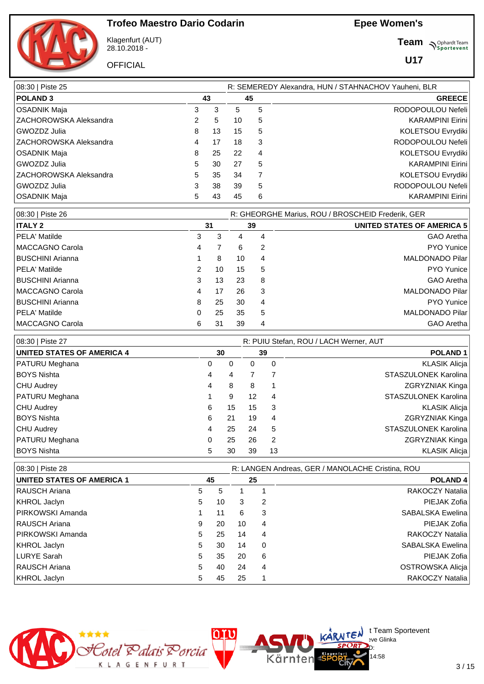

Klagenfurt (AUT) 28.10.2018 -

**OFFICIAL** 

**Team** *S<sup>Ophardt Team*<br>*S*<sup>P</sup> *Sportevent*</sup>

**U17**

| 08:30   Piste 25              |    | R: SEMEREDY Alexandra, HUN / STAHNACHOV Yauheni, BLR |    |    |                         |  |  |  |  |
|-------------------------------|----|------------------------------------------------------|----|----|-------------------------|--|--|--|--|
| <b>POLAND3</b>                |    | 43                                                   |    | 45 | <b>GREECE</b>           |  |  |  |  |
| OSADNIK Maja                  | 3  | 3                                                    | 5  | 5  | RODOPOULOU Nefeli       |  |  |  |  |
| <b>ZACHOROWSKA Aleksandra</b> | 2  | 5                                                    | 10 | 5  | <b>KARAMPINI Eirini</b> |  |  |  |  |
| l GWOZDZ Julia                | 8  | 13                                                   | 15 | 5  | KOLETSOU Evrydiki       |  |  |  |  |
| <b>ZACHOROWSKA Aleksandra</b> | 4  | 17                                                   | 18 | 3  | RODOPOULOU Nefeli       |  |  |  |  |
| OSADNIK Maja                  | 8  | 25                                                   | 22 | 4  | KOLETSOU Evrydiki       |  |  |  |  |
| l GWOZDZ Julia                | 5. | 30                                                   | 27 | 5  | <b>KARAMPINI Eirini</b> |  |  |  |  |
| IZACHOROWSKA Aleksandra       | 5. | 35                                                   | 34 | 7  | KOLETSOU Evrydiki       |  |  |  |  |
| l GWOZDZ Julia                | 3  | 38                                                   | 39 | 5  | RODOPOULOU Nefeli       |  |  |  |  |
| OSADNIK Maja                  | 5. | 43                                                   | 45 | 6  | <b>KARAMPINI Eirini</b> |  |  |  |  |

| 08:30   Piste 26 |   |    |    |    | R: GHEORGHE Marius, ROU / BROSCHEID Frederik, GER |
|------------------|---|----|----|----|---------------------------------------------------|
| <b>ITALY 2</b>   |   | 31 |    | 39 | UNITED STATES OF AMERICA 5                        |
| PELA' Matilde    | 3 | 3  | 4  | 4  | GAO Aretha                                        |
| MACCAGNO Carola  | 4 |    | 6  | 2  | <b>PYO</b> Yunice                                 |
| BUSCHINI Arianna |   | 8  | 10 | 4  | <b>MALDONADO Pilar</b>                            |
| PELA' Matilde    | 2 | 10 | 15 | 5  | <b>PYO</b> Yunice                                 |
| BUSCHINI Arianna | 3 | 13 | 23 | 8  | GAO Aretha                                        |
| MACCAGNO Carola  | 4 | 17 | 26 | 3  | <b>MALDONADO Pilar</b>                            |
| BUSCHINI Arianna | 8 | 25 | 30 | 4  | <b>PYO</b> Yunice                                 |
| PELA' Matilde    | 0 | 25 | 35 | 5  | <b>MALDONADO Pilar</b>                            |
| MACCAGNO Carola  | 6 | 31 | 39 | 4  | GAO Aretha                                        |

| 08:30   Piste 27                  | R: PUIU Stefan, ROU / LACH Werner, AUT |    |    |    |  |                             |  |  |  |  |
|-----------------------------------|----------------------------------------|----|----|----|--|-----------------------------|--|--|--|--|
| <b>UNITED STATES OF AMERICA 4</b> |                                        | 30 |    | 39 |  | POLAND <sub>1</sub>         |  |  |  |  |
| PATURU Meghana                    | 0                                      | 0  | 0  | 0  |  | <b>KLASIK Alicja</b>        |  |  |  |  |
| BOYS Nishta                       | 4                                      | 4  |    |    |  | STASZULONEK Karolina        |  |  |  |  |
| CHU Audrey                        | 4                                      | 8  | 8  |    |  | ZGRYZNIAK Kinga             |  |  |  |  |
| PATURU Meghana                    |                                        | 9  | 12 | 4  |  | <b>STASZULONEK Karolina</b> |  |  |  |  |
| CHU Audrey                        | 6                                      | 15 | 15 | 3  |  | <b>KLASIK Alicja</b>        |  |  |  |  |
| BOYS Nishta_                      | 6                                      | 21 | 19 | 4  |  | <b>ZGRYZNIAK Kinga</b>      |  |  |  |  |
| CHU Audrey                        | 4                                      | 25 | 24 | 5  |  | <b>STASZULONEK Karolina</b> |  |  |  |  |
| PATURU Meghana                    | 0                                      | 25 | 26 | 2  |  | ZGRYZNIAK Kinga             |  |  |  |  |
| <b>BOYS Nishta</b>                | 5                                      | 30 | 39 | 13 |  | <b>KLASIK Alicia</b>        |  |  |  |  |

| 08:30   Piste 28                  |    |    |    |    | R: LANGEN Andreas, GER / MANOLACHE Cristina, ROU |
|-----------------------------------|----|----|----|----|--------------------------------------------------|
| <b>UNITED STATES OF AMERICA 1</b> |    | 45 |    | 25 | <b>POLAND4</b>                                   |
| I RAUSCH Ariana                   | 5  | 5  |    |    | RAKOCZY Natalia                                  |
| KHROL Jaclyn                      | 5  | 10 | 3  | 2  | PIEJAK Zofia                                     |
| <b>PIRKOWSKI Amanda</b>           |    | 11 | 6  | 3  | <b>SABALSKA Ewelina</b>                          |
| I RAUSCH Ariana                   | 9  | 20 | 10 | 4  | PIEJAK Zofia                                     |
| <b>PIRKOWSKI Amanda</b>           | 5  | 25 | 14 | 4  | RAKOCZY Natalia                                  |
| KHROL Jaclyn                      | 5  | 30 | 14 | 0  | <b>SABALSKA Ewelina</b>                          |
| LURYE Sarah                       | 5  | 35 | 20 | 6  | PIEJAK Zofia                                     |
| I RAUSCH Ariana                   | 5. | 40 | 24 | 4  | OSTROWSKA Alicia                                 |
| KHROL Jaclyn                      | 5  | 45 | 25 |    | <b>RAKOCZY Natalia</b>                           |

Kärnten



 $\bigcup_{v \in \mathcal{F}} \mathsf{Id}$  t Team Sportevent

14:58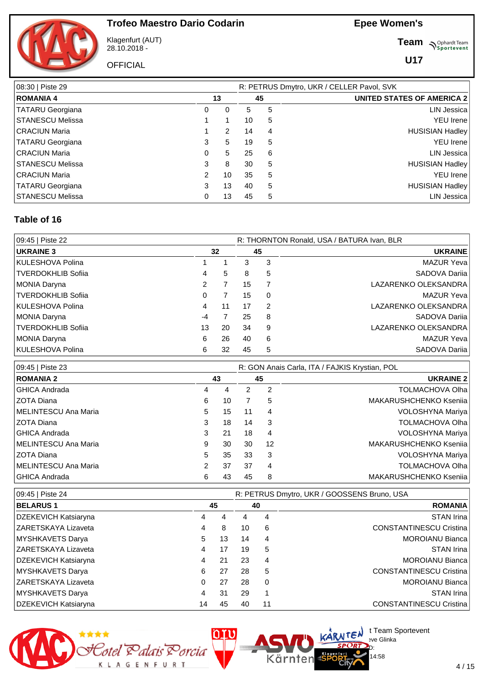

Klagenfurt (AUT) 28.10.2018 -

**OFFICIAL** 

**Team** *S<sup>Ophardt Team*<br>*S*<sup>P</sup> *Sportevent*</sup>

**U17**

| 08:30   Piste 29        |   |    |    |                | R: PETRUS Dmytro, UKR / CELLER Pavol, SVK |
|-------------------------|---|----|----|----------------|-------------------------------------------|
| <b>ROMANIA 4</b>        |   | 13 | 45 |                | <b>UNITED STATES OF AMERICA 2</b>         |
| <b>TATARU Georgiana</b> | 0 | 0  | 5  | 5              | LIN Jessica                               |
| <b>STANESCU Melissa</b> |   |    | 10 | 5              | <b>YEU</b> Irene                          |
| <b>CRACIUN Maria</b>    |   | 2  | 14 | $\overline{4}$ | <b>HUSISIAN Hadley</b>                    |
| <b>TATARU Georgiana</b> | 3 | 5  | 19 | 5              | <b>YEU</b> Irene                          |
| <b>CRACIUN Maria</b>    | 0 | 5. | 25 | 6              | LIN Jessica                               |
| <b>STANESCU Melissa</b> | 3 | 8  | 30 | 5              | <b>HUSISIAN Hadley</b>                    |
| <b>CRACIUN Maria</b>    | 2 | 10 | 35 | 5              | <b>YEU</b> Irene                          |
| <b>TATARU Georgiana</b> | 3 | 13 | 40 | 5              | <b>HUSISIAN Hadley</b>                    |
| <b>STANESCU Melissa</b> | 0 | 13 | 45 | 5              | <b>LIN Jessica</b>                        |

#### **Table of 16**

| 09:45   Piste 22   |      |    | R: THORNTON Ronald, USA / BATURA Ivan, BLR |                |                      |  |  |  |  |
|--------------------|------|----|--------------------------------------------|----------------|----------------------|--|--|--|--|
| <b>UKRAINE 3</b>   | 32   |    | 45                                         |                | <b>UKRAINE</b>       |  |  |  |  |
| KULESHOVA Polina   |      |    | 3                                          | 3              | <b>MAZUR Yeva</b>    |  |  |  |  |
| TVERDOKHLIB Sofiia | 4    | 5  | 8                                          | 5              | SADOVA Darija        |  |  |  |  |
| MONIA Daryna       | 2    |    | 15                                         |                | LAZARENKO OLEKSANDRA |  |  |  |  |
| TVERDOKHLIB Sofiia | 0    |    | 15                                         | 0              | <b>MAZUR Yeva</b>    |  |  |  |  |
| IKULESHOVA Polina  | 4    | 11 | 17                                         | $\overline{2}$ | LAZARENKO OLEKSANDRA |  |  |  |  |
| MONIA Daryna       | $-4$ |    | 25                                         | 8              | SADOVA Darija        |  |  |  |  |
| TVERDOKHLIB Sofiia | 13   | 20 | 34                                         | 9              | LAZARENKO OLEKSANDRA |  |  |  |  |
| MONIA Daryna       | 6    | 26 | 40                                         | 6              | <b>MAZUR Yeva</b>    |  |  |  |  |
| KULESHOVA Polina   | 6    | 32 | 45                                         | 5              | SADOVA Darija        |  |  |  |  |

| 09:45   Piste 23     | R: GON Anais Carla, ITA / FAJKIS Krystian, POL |    |    |    |                        |  |  |  |  |  |
|----------------------|------------------------------------------------|----|----|----|------------------------|--|--|--|--|--|
| <b>ROMANIA 2</b>     |                                                | 43 |    | 45 | <b>UKRAINE 2</b>       |  |  |  |  |  |
| l GHICA Andrada      | 4                                              | 4  | 2  | 2  | <b>TOLMACHOVA Olha</b> |  |  |  |  |  |
| ZOTA Diana           | 6                                              | 10 |    | 5  | MAKARUSHCHENKO Ksenija |  |  |  |  |  |
| MELINTESCU Ana Maria | 5                                              | 15 | 11 | 4  | VOLOSHYNA Mariya       |  |  |  |  |  |
| ZOTA Diana           | 3                                              | 18 | 14 | 3  | <b>TOLMACHOVA Olha</b> |  |  |  |  |  |
| l GHICA Andrada      | 3                                              | 21 | 18 | 4  | VOLOSHYNA Mariya       |  |  |  |  |  |
| MELINTESCU Ana Maria | 9                                              | 30 | 30 | 12 | MAKARUSHCHENKO Ksenija |  |  |  |  |  |
| l ZOTA Diana         | 5                                              | 35 | 33 | 3  | VOLOSHYNA Mariya       |  |  |  |  |  |
| MELINTESCU Ana Maria | 2                                              | 37 | 37 | 4  | <b>TOLMACHOVA Olha</b> |  |  |  |  |  |
| GHICA Andrada        | 6                                              | 43 | 45 | 8  | MAKARUSHCHENKO Ksenija |  |  |  |  |  |

| 09:45   Piste 24           |    | R: PETRUS Dmytro, UKR / GOOSSENS Bruno, USA |    |          |                                |  |  |  |  |  |  |
|----------------------------|----|---------------------------------------------|----|----------|--------------------------------|--|--|--|--|--|--|
| <b>BELARUS1</b>            |    | 45                                          |    |          | <b>ROMANIA</b>                 |  |  |  |  |  |  |
| DZEKEVICH Katsiaryna       | 4  | 4                                           | 4  | 4        | <b>STAN Irina</b>              |  |  |  |  |  |  |
| IZARETSKAYA Lizaveta       | 4  | 8                                           | 10 | 6        | <b>CONSTANTINESCU Cristina</b> |  |  |  |  |  |  |
| MYSHKAVETS Darya           | 5  | 13                                          | 14 | 4        | <b>MOROIANU Bianca</b>         |  |  |  |  |  |  |
| <b>ZARETSKAYA Lizaveta</b> | 4  | 17                                          | 19 | 5        | <b>STAN Irina</b>              |  |  |  |  |  |  |
| DZEKEVICH Katsiaryna       | 4  | 21                                          | 23 | 4        | MOROIANU Bianca                |  |  |  |  |  |  |
| MYSHKAVETS Darya           | 6  | 27                                          | 28 | 5        | <b>CONSTANTINESCU Cristina</b> |  |  |  |  |  |  |
| ZARETSKAYA Lizaveta        | 0  | 27                                          | 28 | $\Omega$ | <b>MOROIANU Bianca</b>         |  |  |  |  |  |  |
| MYSHKAVETS Darya           | 4  | 31                                          | 29 |          | <b>STAN Irina</b>              |  |  |  |  |  |  |
| DZEKEVICH Katsiaryna       | 14 | 45                                          | 40 | 11       | <b>CONSTANTINESCU Cristina</b> |  |  |  |  |  |  |

Kärnten



 $\bigcup_{v \in \mathcal{F}} \mathsf{Id}$  t Team Sportevent

14:58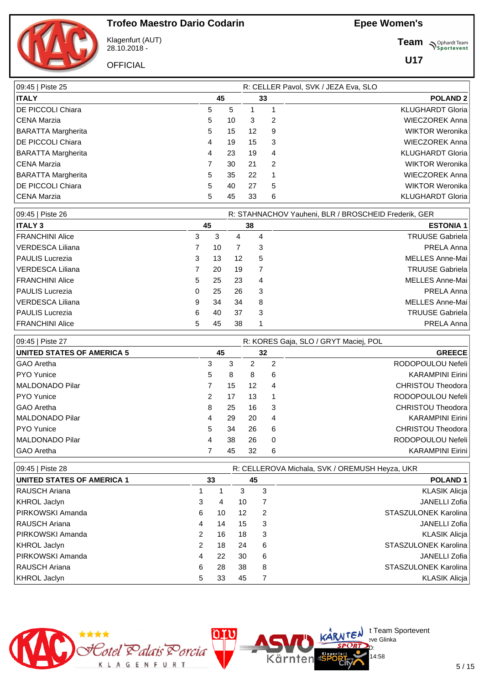

Klagenfurt (AUT) 28.10.2018 -

**OFFICIAL** 

**Team** *S<sup>Ophardt Team*<br>*S*<sup>P</sup> *Sportevent*</sup>

**U17**

| 09:45   Piste 25          |    |    |    | R: CELLER Pavol, SVK / JEZA Eva, SLO |                         |
|---------------------------|----|----|----|--------------------------------------|-------------------------|
| <b>ITALY</b>              | 45 |    | 33 |                                      | <b>POLAND 2</b>         |
| DE PICCOLI Chiara         | 5  | 5  |    |                                      | <b>KLUGHARDT Gloria</b> |
| <b>CENA Marzia</b>        | 5  | 10 | 3  | 2                                    | <b>WIECZOREK Anna</b>   |
| <b>BARATTA Margherita</b> | 5  | 15 | 12 | 9                                    | <b>WIKTOR Weronika</b>  |
| DE PICCOLI Chiara         | 4  | 19 | 15 | 3                                    | <b>WIECZOREK Anna</b>   |
| <b>BARATTA Margherita</b> | 4  | 23 | 19 | 4                                    | <b>KLUGHARDT Gloria</b> |
| <b>CENA Marzia</b>        | 7  | 30 | 21 | $\overline{2}$                       | <b>WIKTOR Weronika</b>  |
| <b>BARATTA Margherita</b> | 5  | 35 | 22 |                                      | <b>WIECZOREK Anna</b>   |
| DE PICCOLI Chiara         | 5  | 40 | 27 | 5                                    | <b>WIKTOR Weronika</b>  |
| CENA Marzia               | 5  | 45 | 33 | 6                                    | <b>KLUGHARDT Gloria</b> |

| 09:45   Piste 26       |   |    |    |    | R: STAHNACHOV Yauheni, BLR / BROSCHEID Frederik, GER |
|------------------------|---|----|----|----|------------------------------------------------------|
| <b>ITALY 3</b>         |   | 45 |    | 38 | <b>ESTONIA 1</b>                                     |
| FRANCHINI Alice        | 3 | 3  | 4  | 4  | <b>TRUUSE Gabriela</b>                               |
| VERDESCA Liliana       |   | 10 |    | 3  | PRELA Anna                                           |
| <b>PAULIS Lucrezia</b> | 3 | 13 | 12 | 5  | MELLES Anne-Mai                                      |
| VERDESCA Liliana       |   | 20 | 19 | 7  | <b>TRUUSE Gabriela</b>                               |
| FRANCHINI Alice        | 5 | 25 | 23 | 4  | MELLES Anne-Mai                                      |
| <b>PAULIS Lucrezia</b> | 0 | 25 | 26 | 3  | PRELA Anna                                           |
| VERDESCA Liliana       | 9 | 34 | 34 | 8  | MELLES Anne-Mai                                      |
| <b>PAULIS Lucrezia</b> | 6 | 40 | 37 | 3  | <b>TRUUSE Gabriela</b>                               |
| FRANCHINI Alice        | 5 | 45 | 38 |    | PRELA Anna                                           |

| 09:45   Piste 27                  |               |    |    |   | R: KORES Gaja, SLO / GRYT Maciej, POL |
|-----------------------------------|---------------|----|----|---|---------------------------------------|
| <b>UNITED STATES OF AMERICA 5</b> | 45            |    | 32 |   | <b>GREECE</b>                         |
| GAO Aretha                        | 3             | 3  | 2  | 2 | RODOPOULOU Nefeli                     |
| <b>PYO</b> Yunice                 | 5.            | 8  | 8  | 6 | <b>KARAMPINI Eirini</b>               |
| MALDONADO Pilar                   |               | 15 | 12 | 4 | <b>CHRISTOU Theodora</b>              |
| <b>PYO</b> Yunice                 | $\mathcal{P}$ | 17 | 13 | 1 | RODOPOULOU Nefeli                     |
| GAO Aretha                        | 8             | 25 | 16 | 3 | <b>CHRISTOU Theodora</b>              |
| <b>MALDONADO Pilar</b>            | 4             | 29 | 20 | 4 | <b>KARAMPINI Eirini</b>               |
| <b>PYO</b> Yunice                 | 5             | 34 | 26 | 6 | <b>CHRISTOU Theodora</b>              |
| <b>MALDONADO Pilar</b>            | 4             | 38 | 26 | 0 | RODOPOULOU Nefeli                     |
| GAO Aretha                        |               | 45 | 32 | 6 | <b>KARAMPINI Eirini</b>               |

| 09:45   Piste 28                  |               |    | R: CELLEROVA Michala, SVK / OREMUSH Heyza, UKR |    |                      |  |  |  |  |  |
|-----------------------------------|---------------|----|------------------------------------------------|----|----------------------|--|--|--|--|--|
| <b>UNITED STATES OF AMERICA 1</b> |               | 33 |                                                | 45 | <b>POLAND1</b>       |  |  |  |  |  |
| RAUSCH Ariana                     |               |    | 3                                              | 3  | <b>KLASIK Alicja</b> |  |  |  |  |  |
| KHROL Jaclyn                      | 3             | 4  | 10                                             |    | JANELLI Zofia        |  |  |  |  |  |
| <b>PIRKOWSKI Amanda</b>           | 6             | 10 | 12                                             | 2  | STASZULONEK Karolina |  |  |  |  |  |
| RAUSCH Ariana                     | 4             | 14 | 15                                             | 3  | JANELLI Zofia        |  |  |  |  |  |
| <b>IPIRKOWSKI Amanda</b>          | 2             | 16 | 18                                             | 3  | <b>KLASIK Alicja</b> |  |  |  |  |  |
| KHROL Jaclyn                      | $\mathcal{P}$ | 18 | 24                                             | 6  | STASZULONEK Karolina |  |  |  |  |  |
| <b>PIRKOWSKI Amanda</b>           | 4             | 22 | 30                                             | 6  | JANELLI Zofia        |  |  |  |  |  |
| <b>RAUSCH Ariana</b>              | 6             | 28 | 38                                             | 8  | STASZULONEK Karolina |  |  |  |  |  |
| KHROL Jaclyn                      | 5             | 33 | 45                                             |    | <b>KLASIK Alicia</b> |  |  |  |  |  |

Kärnten



 $\bigcup_{v \in \mathcal{F}} \mathsf{Id}$  t Team Sportevent

14:58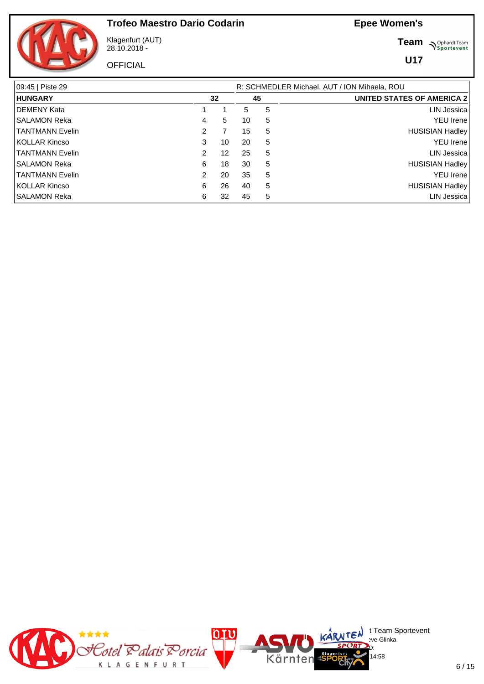

Klagenfurt (AUT) 28.10.2018 -

**OFFICIAL** 

**Team** *S<sup>Ophardt Team*<br>*S*<sup>P</sup> *Sportevent*</sup>

| 09:45   Piste 29       |                | R: SCHMEDLER Michael, AUT / ION Mihaela, ROU |    |   |                                   |  |  |  |  |  |
|------------------------|----------------|----------------------------------------------|----|---|-----------------------------------|--|--|--|--|--|
| <b>HUNGARY</b>         |                | 32                                           |    |   | <b>UNITED STATES OF AMERICA 2</b> |  |  |  |  |  |
| <b>DEMENY Kata</b>     |                |                                              | 5  | 5 | LIN Jessica                       |  |  |  |  |  |
| <b>SALAMON Reka</b>    | 4              | 5                                            | 10 | 5 | <b>YEU Irene</b>                  |  |  |  |  |  |
| <b>TANTMANN Evelin</b> | $\overline{2}$ | 7                                            | 15 | 5 | <b>HUSISIAN Hadley</b>            |  |  |  |  |  |
| <b>KOLLAR Kincso</b>   | 3              | 10                                           | 20 | 5 | <b>YEU</b> Irene                  |  |  |  |  |  |
| <b>TANTMANN Evelin</b> | 2              | 12                                           | 25 | 5 | <b>LIN Jessica</b>                |  |  |  |  |  |
| <b>SALAMON Reka</b>    | 6              | 18                                           | 30 | 5 | <b>HUSISIAN Hadley</b>            |  |  |  |  |  |
| <b>TANTMANN Evelin</b> | $\overline{2}$ | 20                                           | 35 | 5 | <b>YEU</b> Irene                  |  |  |  |  |  |
| <b>KOLLAR Kincso</b>   | 6              | 26                                           | 40 | 5 | <b>HUSISIAN Hadley</b>            |  |  |  |  |  |
| <b>SALAMON Reka</b>    | 6              | 32                                           | 45 | 5 | LIN Jessica                       |  |  |  |  |  |

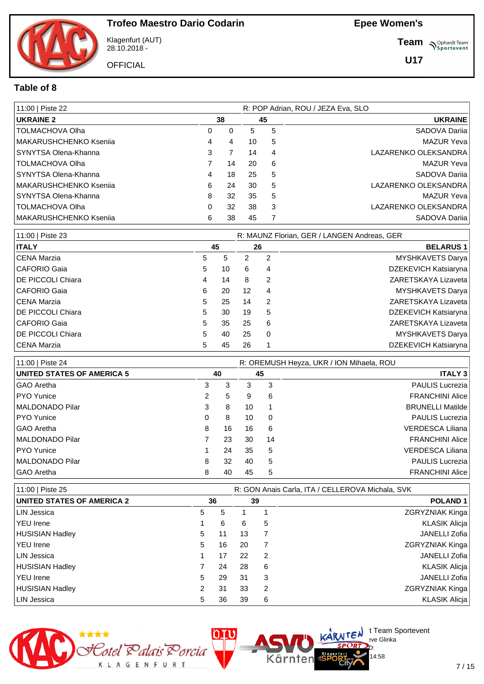Klagenfurt (AUT) 28.10.2018 -

**OFFICIAL** 

**Team** *S<sup>Ophardt Team*<br>*S*<sup>P</sup> *Sportevent*</sup>

**U17**

#### **Table of 8**

| 11:00   Piste 22       |   | R: POP Adrian, ROU / JEZA Eva, SLO |    |    |                      |  |  |
|------------------------|---|------------------------------------|----|----|----------------------|--|--|
| <b>UKRAINE 2</b>       |   | 38                                 |    | 45 | <b>UKRAINE</b>       |  |  |
| TOLMACHOVA Olha        | 0 | 0                                  | 5  | 5  | SADOVA Darija        |  |  |
| MAKARUSHCHENKO Ksenija | 4 | 4                                  | 10 | 5  | <b>MAZUR Yeva</b>    |  |  |
| SYNYTSA Olena-Khanna   | 3 |                                    | 14 | 4  | LAZARENKO OLEKSANDRA |  |  |
| <b>TOLMACHOVA Olha</b> | 7 | 14                                 | 20 | 6  | <b>MAZUR Yeva</b>    |  |  |
| SYNYTSA Olena-Khanna   | 4 | 18                                 | 25 | 5  | SADOVA Darija        |  |  |
| MAKARUSHCHENKO Ksenija | 6 | 24                                 | 30 | 5  | LAZARENKO OLEKSANDRA |  |  |
| SYNYTSA Olena-Khanna   | 8 | 32                                 | 35 | 5  | <b>MAZUR Yeva</b>    |  |  |
| TOLMACHOVA Olha        | 0 | 32                                 | 38 | 3  | LAZARENKO OLEKSANDRA |  |  |
| MAKARUSHCHENKO Ksenija | 6 | 38                                 | 45 | 7  | SADOVA Darija        |  |  |

| 11:00   Piste 23          |    |    |    |                | R: MAUNZ Florian, GER / LANGEN Andreas, GER |  |
|---------------------------|----|----|----|----------------|---------------------------------------------|--|
| <b>ITALY</b>              |    | 45 |    | 26             | <b>BELARUS1</b>                             |  |
| CENA Marzia               | 5  | 5  | 2  | $\overline{2}$ | <b>MYSHKAVETS Darya</b>                     |  |
| CAFORIO Gaia              | 5  | 10 | 6  | 4              | DZEKEVICH Katsiaryna                        |  |
| I DE PICCOLI Chiara       | 4  | 14 | 8  | 2              | ZARETSKAYA Lizaveta                         |  |
| CAFORIO Gaia              | 6  | 20 | 12 | 4              | <b>MYSHKAVETS Darya</b>                     |  |
| CENA Marzia               | 5  | 25 | 14 | 2              | ZARETSKAYA Lizaveta                         |  |
| I DE PICCOLI Chiara       | 5  | 30 | 19 | 5              | DZEKEVICH Katsiaryna                        |  |
| CAFORIO Gaia              | 5  | 35 | 25 | 6              | ZARETSKAYA Lizaveta                         |  |
| <b>IDE PICCOLI Chiara</b> | 5  | 40 | 25 | $\Omega$       | <b>MYSHKAVETS Darya</b>                     |  |
| CENA Marzia               | 5. | 45 | 26 |                | DZEKEVICH Katsiaryna                        |  |

| 11:00   Piste 24                  | R: OREMUSH Heyza, UKR / ION Mihaela, ROU |    |    |    |                         |  |  |  |  |  |
|-----------------------------------|------------------------------------------|----|----|----|-------------------------|--|--|--|--|--|
| <b>UNITED STATES OF AMERICA 5</b> |                                          | 40 |    | 45 | <b>ITALY 3</b>          |  |  |  |  |  |
| l GAO Aretha                      | 3                                        | 3  | 3  | 3  | <b>PAULIS Lucrezia</b>  |  |  |  |  |  |
| PYO Yunice                        | 2                                        | 5  | 9  | 6  | <b>FRANCHINI Alice</b>  |  |  |  |  |  |
| MALDONADO Pilar                   | 3                                        | 8  | 10 |    | <b>BRUNELLI Matilde</b> |  |  |  |  |  |
| PYO Yunice                        | 0                                        | 8  | 10 | 0  | <b>PAULIS Lucrezia</b>  |  |  |  |  |  |
| l GAO Aretha                      | 8                                        | 16 | 16 | 6  | <b>VERDESCA Liliana</b> |  |  |  |  |  |
| MALDONADO Pilar                   |                                          | 23 | 30 | 14 | <b>FRANCHINI Alice</b>  |  |  |  |  |  |
| PYO Yunice                        |                                          | 24 | 35 | 5  | <b>VERDESCA Liliana</b> |  |  |  |  |  |
| MALDONADO Pilar                   | 8                                        | 32 | 40 | 5  | <b>PAULIS Lucrezia</b>  |  |  |  |  |  |
| l GAO Aretha                      | 8                                        | 40 | 45 | 5  | <b>FRANCHINI Alice</b>  |  |  |  |  |  |

| 11:00   Piste 25                  | R: GON Anais Carla, ITA / CELLEROVA Michala, SVK |    |    |    |                        |  |  |  |  |
|-----------------------------------|--------------------------------------------------|----|----|----|------------------------|--|--|--|--|
| <b>UNITED STATES OF AMERICA 2</b> | 36                                               |    |    | 39 | <b>POLAND1</b>         |  |  |  |  |
| LIN Jessica                       | 5                                                | 5  |    |    | ZGRYZNIAK Kinga        |  |  |  |  |
| <b>YEU</b> Irene                  |                                                  | 6  | 6  | 5  | <b>KLASIK Alicia</b>   |  |  |  |  |
| HUSISIAN Hadley                   | 5.                                               | 11 | 13 |    | JANELLI Zofia          |  |  |  |  |
| YEU Irene                         | 5                                                | 16 | 20 |    | <b>ZGRYZNIAK Kinga</b> |  |  |  |  |
| LIN Jessica                       |                                                  | 17 | 22 | 2  | JANELLI Zofia          |  |  |  |  |
| HUSISIAN Hadley                   |                                                  | 24 | 28 | 6  | <b>KLASIK Alicja</b>   |  |  |  |  |
| ∣YEU Irene                        | 5                                                | 29 | 31 | 3  | JANELLI Zofia          |  |  |  |  |
| HUSISIAN Hadley                   |                                                  | 31 | 33 | 2  | <b>ZGRYZNIAK Kinga</b> |  |  |  |  |
| LIN Jessica                       | 5                                                | 36 | 39 | 6  | <b>KLASIK Alicia</b>   |  |  |  |  |

Kärnten



 $\bigcup_{v \in \mathcal{F}} \mathsf{Id}$  t Team Sportevent

14:58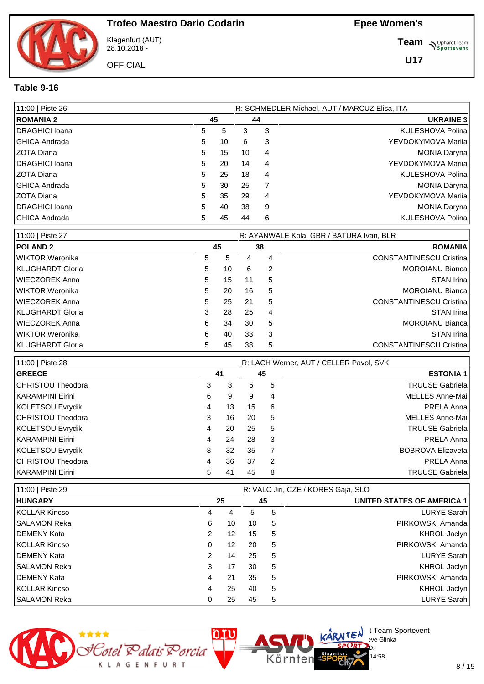

Klagenfurt (AUT) 28.10.2018 -

**OFFICIAL** 

**Team** *S<sup>Ophardt Team*<br>*S*<sup>P</sup> *Sportevent*</sup>

**U17**

#### **Table 9-16**

| 11:00   Piste 26      |    |    |    |   | R: SCHMEDLER Michael, AUT / MARCUZ Elisa, ITA |
|-----------------------|----|----|----|---|-----------------------------------------------|
| <b>ROMANIA 2</b>      |    | 45 | 44 |   | <b>UKRAINE 3</b>                              |
| DRAGHICI Ioana        | 5. | 5  | 3  | 3 | KULESHOVA Polina                              |
| <b>GHICA Andrada</b>  | 5  | 10 | 6  | 3 | YEVDOKYMOVA Marija                            |
| ZOTA Diana            | 5  | 15 | 10 | 4 | <b>MONIA Daryna</b>                           |
| DRAGHICI Ioana        | 5  | 20 | 14 | 4 | YEVDOKYMOVA Marija                            |
| <b>ZOTA Diana</b>     | 5  | 25 | 18 | 4 | KULESHOVA Polina                              |
| <b>GHICA Andrada</b>  | 5  | 30 | 25 | 7 | <b>MONIA Daryna</b>                           |
| ZOTA Diana            | 5  | 35 | 29 | 4 | YEVDOKYMOVA Marija                            |
| <b>DRAGHICI</b> Ioana | 5  | 40 | 38 | 9 | <b>MONIA Daryna</b>                           |
| <b>GHICA Andrada</b>  | 5. | 45 | 44 | 6 | KULESHOVA Polina                              |

| 11:00   Piste 27 |   |    |    |    | R: AYANWALE Kola, GBR / BATURA Ivan, BLR |
|------------------|---|----|----|----|------------------------------------------|
| <b>POLAND 2</b>  |   | 45 |    | 38 | <b>ROMANIA</b>                           |
| WIKTOR Weronika  | 5 | 5  | 4  | 4  | <b>CONSTANTINESCU Cristina</b>           |
| KLUGHARDT Gloria | 5 | 10 | 6  | 2  | <b>MOROIANU Bianca</b>                   |
| WIECZOREK Anna   | 5 | 15 | 11 | 5  | STAN Irina                               |
| WIKTOR Weronika  | 5 | 20 | 16 | 5  | <b>MOROIANU Bianca</b>                   |
| WIECZOREK Anna   | 5 | 25 | 21 | 5  | <b>CONSTANTINESCU Cristina</b>           |
| KLUGHARDT Gloria | 3 | 28 | 25 | 4  | STAN Irina                               |
| WIECZOREK Anna   | 6 | 34 | 30 | 5  | <b>MOROIANU Bianca</b>                   |
| WIKTOR Weronika  | 6 | 40 | 33 | 3  | STAN Irina                               |
| KLUGHARDT Gloria | 5 | 45 | 38 | 5  | <b>CONSTANTINESCU Cristina</b>           |

| 11:00   Piste 28  |   |    | R: LACH Werner, AUT / CELLER Pavol, SVK |   |                          |  |  |  |  |
|-------------------|---|----|-----------------------------------------|---|--------------------------|--|--|--|--|
| <b>GREECE</b>     |   | 41 | 45                                      |   | <b>ESTONIA 1</b>         |  |  |  |  |
| CHRISTOU Theodora | 3 | 3  | 5.                                      | 5 | <b>TRUUSE Gabriela</b>   |  |  |  |  |
| KARAMPINI Eirini  | 6 | 9  | 9                                       | 4 | <b>MELLES Anne-Mai</b>   |  |  |  |  |
| KOLETSOU Evrydiki | 4 | 13 | 15                                      | 6 | PRELA Anna               |  |  |  |  |
| CHRISTOU Theodora | 3 | 16 | 20                                      | 5 | <b>MELLES Anne-Mai</b>   |  |  |  |  |
| KOLETSOU Evrydiki | 4 | 20 | 25                                      | 5 | <b>TRUUSE Gabriela</b>   |  |  |  |  |
| KARAMPINI Eirini  | 4 | 24 | 28                                      | 3 | PRELA Anna               |  |  |  |  |
| KOLETSOU Evrydiki | 8 | 32 | 35                                      | 7 | <b>BOBROVA Elizaveta</b> |  |  |  |  |
| CHRISTOU Theodora | 4 | 36 | 37                                      | 2 | PRELA Anna               |  |  |  |  |
| KARAMPINI Eirini  | 5 | 41 | 45                                      | 8 | <b>TRUUSE Gabriela</b>   |  |  |  |  |

| 11:00   Piste 29    |   | R: VALC Jiri, CZE / KORES Gaja, SLO |    |   |                                   |  |  |  |  |  |  |
|---------------------|---|-------------------------------------|----|---|-----------------------------------|--|--|--|--|--|--|
| <b>HUNGARY</b>      |   | 25                                  | 45 |   | <b>UNITED STATES OF AMERICA 1</b> |  |  |  |  |  |  |
| KOLLAR Kincso       | 4 | 4                                   | 5  | 5 | <b>LURYE Sarah</b>                |  |  |  |  |  |  |
| SALAMON Reka        | 6 | 10                                  | 10 | 5 | PIRKOWSKI Amanda                  |  |  |  |  |  |  |
| <b>IDEMENY Kata</b> | 2 | 12                                  | 15 | 5 | <b>KHROL Jaclyn</b>               |  |  |  |  |  |  |
| KOLLAR Kincso       | 0 | 12                                  | 20 | 5 | PIRKOWSKI Amanda                  |  |  |  |  |  |  |
| <b>IDEMENY Kata</b> | 2 | 14                                  | 25 | 5 | <b>LURYE Sarah</b>                |  |  |  |  |  |  |
| <b>SALAMON Reka</b> | 3 | 17                                  | 30 | 5 | <b>KHROL Jaclyn</b>               |  |  |  |  |  |  |
| <b>IDEMENY Kata</b> | 4 | 21                                  | 35 | 5 | PIRKOWSKI Amanda                  |  |  |  |  |  |  |
| KOLLAR Kincso       | 4 | 25                                  | 40 | 5 | <b>KHROL Jaclyn</b>               |  |  |  |  |  |  |
| SALAMON Reka        | 0 | 25                                  | 45 | 5 | <b>LURYE Sarah</b>                |  |  |  |  |  |  |

Kärnten



 $\bigcup_{v \in \mathcal{F}} \mathsf{Id}$  t Team Sportevent

14:58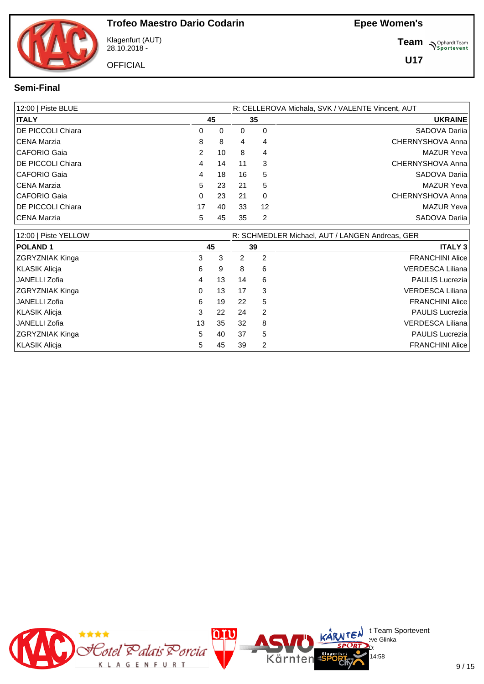Klagenfurt (AUT) 28.10.2018 -

**OFFICIAL** 

**Team** *S<sup>Ophardt Team*<br>*S*<sup>P</sup> *Sportevent*</sup>

**U17**

#### **Semi-Final**

| 12:00   Piste BLUE        |    |    | R: CELLEROVA Michala, SVK / VALENTE Vincent, AUT |    |                  |  |  |  |  |
|---------------------------|----|----|--------------------------------------------------|----|------------------|--|--|--|--|
| <b>ITALY</b>              |    | 45 |                                                  | 35 | <b>UKRAINE</b>   |  |  |  |  |
| <b>IDE PICCOLI Chiara</b> | 0  | 0  | 0                                                | 0  | SADOVA Darija    |  |  |  |  |
| CENA Marzia               | 8  | 8  | 4                                                | 4  | CHERNYSHOVA Anna |  |  |  |  |
| CAFORIO Gaia              | 2  | 10 | 8                                                | 4  | MAZUR Yeva       |  |  |  |  |
| <b>IDE PICCOLI Chiara</b> | 4  | 14 | 11                                               | 3  | CHERNYSHOVA Anna |  |  |  |  |
| CAFORIO Gaia              | 4  | 18 | 16                                               | 5  | SADOVA Darija    |  |  |  |  |
| CENA Marzia               | 5  | 23 | 21                                               | 5  | MAZUR Yeva       |  |  |  |  |
| CAFORIO Gaia              | 0  | 23 | 21                                               | 0  | CHERNYSHOVA Anna |  |  |  |  |
| <b>IDE PICCOLI Chiara</b> | 17 | 40 | 33                                               | 12 | MAZUR Yeva       |  |  |  |  |
| CENA Marzia               | 5  | 45 | 35                                               | 2  | SADOVA Darija    |  |  |  |  |

| 12:00   Piste YELLOW   |    |    | R: SCHMEDLER Michael, AUT / LANGEN Andreas, GER |   |                         |  |  |  |  |  |
|------------------------|----|----|-------------------------------------------------|---|-------------------------|--|--|--|--|--|
| <b>POLAND1</b>         |    | 45 | 39                                              |   | <b>ITALY 3</b>          |  |  |  |  |  |
| ZGRYZNIAK Kinga        | 3  | 3  | 2                                               | 2 | <b>FRANCHINI Alice</b>  |  |  |  |  |  |
| KLASIK Alicja          | 6  | 9  | 8                                               | 6 | VERDESCA Liliana        |  |  |  |  |  |
| JANELLI Zofia          | 4  | 13 | 14                                              | 6 | PAULIS Lucrezia         |  |  |  |  |  |
| <b>ZGRYZNIAK Kinga</b> | 0  | 13 | 17                                              | 3 | <b>VERDESCA Liliana</b> |  |  |  |  |  |
| JANELLI Zofia          | 6  | 19 | 22                                              | 5 | <b>FRANCHINI Alice</b>  |  |  |  |  |  |
| KLASIK Alicia          | 3  | 22 | 24                                              | 2 | <b>PAULIS Lucrezia</b>  |  |  |  |  |  |
| JANELLI Zofia          | 13 | 35 | 32                                              | 8 | VERDESCA Liliana        |  |  |  |  |  |
| ZGRYZNIAK Kinga        | 5  | 40 | 37                                              | 5 | <b>PAULIS Lucrezia</b>  |  |  |  |  |  |
| KLASIK Alicia          | 5  | 45 | 39                                              | 2 | <b>FRANCHINI Alice</b>  |  |  |  |  |  |

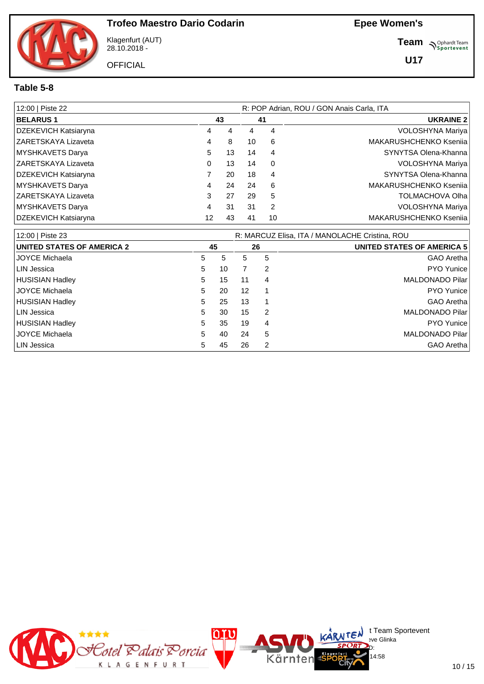Klagenfurt (AUT) 28.10.2018 -

**OFFICIAL** 

**Team** *S<sup>Ophardt Team*<br>*S*<sup>P</sup> *Sportevent*</sup>

**U17**

#### **Table 5-8**

| 12:00   Piste 22     |    |    | R: POP Adrian, ROU / GON Anais Carla, ITA |                |                               |  |  |  |  |
|----------------------|----|----|-------------------------------------------|----------------|-------------------------------|--|--|--|--|
| <b>BELARUS1</b>      |    | 43 |                                           | 41             | <b>UKRAINE 2</b>              |  |  |  |  |
| DZEKEVICH Katsiaryna | 4  | 4  | 4                                         | 4              | VOLOSHYNA Mariya              |  |  |  |  |
| ZARETSKAYA Lizaveta  | 4  | 8  | 10                                        | 6              | MAKARUSHCHENKO Ksenija        |  |  |  |  |
| MYSHKAVETS Darya     | 5  | 13 | 14                                        | 4              | SYNYTSA Olena-Khanna          |  |  |  |  |
| ZARETSKAYA Lizaveta  | 0  | 13 | 14                                        | 0              | VOLOSHYNA Mariya              |  |  |  |  |
| DZEKEVICH Katsiaryna |    | 20 | 18                                        | $\overline{4}$ | SYNYTSA Olena-Khanna          |  |  |  |  |
| MYSHKAVETS Darya     | 4  | 24 | 24                                        | 6              | MAKARUSHCHENKO Ksenija        |  |  |  |  |
| ZARETSKAYA Lizaveta  | 3  | 27 | 29                                        | 5              | <b>TOLMACHOVA Olha</b>        |  |  |  |  |
| MYSHKAVETS Darya     | 4  | 31 | 31                                        | 2              | VOLOSHYNA Mariya              |  |  |  |  |
| DZEKEVICH Katsiaryna | 12 | 43 | 41                                        | 10             | <b>MAKARUSHCHENKO Ksenija</b> |  |  |  |  |

| 12:00   Piste 23                  | R: MARCUZ Elisa, ITA / MANOLACHE Cristina, ROU |    |    |    |                                   |  |  |  |  |  |
|-----------------------------------|------------------------------------------------|----|----|----|-----------------------------------|--|--|--|--|--|
| <b>UNITED STATES OF AMERICA 2</b> |                                                | 45 |    | 26 | <b>UNITED STATES OF AMERICA 5</b> |  |  |  |  |  |
| <b>JOYCE Michaela</b>             | 5                                              | 5  | 5  | 5  | GAO Aretha                        |  |  |  |  |  |
| <b>LIN Jessica</b>                | 5                                              | 10 |    | 2  | PYO Yunice                        |  |  |  |  |  |
| <b>HUSISIAN Hadley</b>            | 5                                              | 15 | 11 | 4  | MALDONADO Pilar                   |  |  |  |  |  |
| <b>JOYCE Michaela</b>             | 5                                              | 20 | 12 | 1  | <b>PYO Yunice</b>                 |  |  |  |  |  |
| <b>HUSISIAN Hadley</b>            | 5                                              | 25 | 13 |    | GAO Aretha                        |  |  |  |  |  |
| LIN Jessica                       | 5                                              | 30 | 15 | 2  | MALDONADO Pilar                   |  |  |  |  |  |
| <b>HUSISIAN Hadley</b>            | 5                                              | 35 | 19 | 4  | <b>PYO Yunice</b>                 |  |  |  |  |  |
| <b>JOYCE Michaela</b>             | 5                                              | 40 | 24 | 5  | MALDONADO Pilar                   |  |  |  |  |  |
| LIN Jessica                       | 5                                              | 45 | 26 | 2  | GAO Aretha                        |  |  |  |  |  |

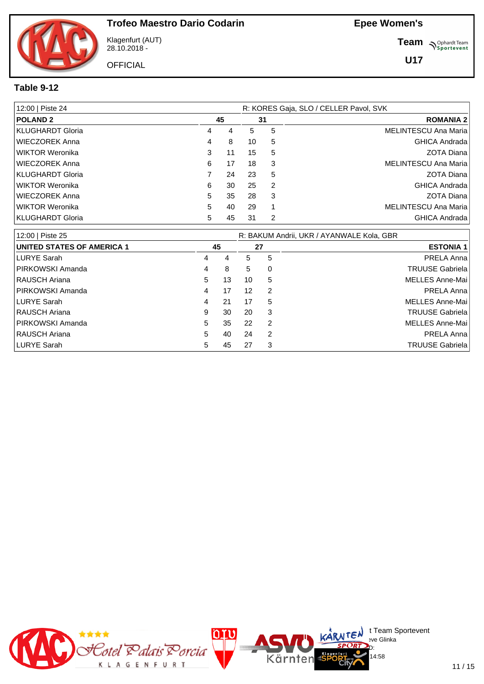Klagenfurt (AUT) 28.10.2018 -

**OFFICIAL** 

**Team** *S<sup>Ophardt Team*<br>*S*<sup>P</sup> *Sportevent*</sup>

**U17**

#### **Table 9-12**

| 12:00   Piste 24 |   |    | R: KORES Gaja, SLO / CELLER Pavol, SVK |    |                             |  |  |  |  |
|------------------|---|----|----------------------------------------|----|-----------------------------|--|--|--|--|
| <b>POLAND 2</b>  |   | 45 |                                        | 31 | <b>ROMANIA 2</b>            |  |  |  |  |
| KLUGHARDT Gloria | 4 | 4  | 5                                      | 5  | MELINTESCU Ana Maria        |  |  |  |  |
| WIECZOREK Anna   | 4 | 8  | 10                                     | 5  | <b>GHICA Andrada</b>        |  |  |  |  |
| WIKTOR Weronika  | 3 | 11 | 15                                     | 5  | ZOTA Diana                  |  |  |  |  |
| WIECZOREK Anna   | 6 | 17 | 18                                     | 3  | MELINTESCU Ana Maria        |  |  |  |  |
| KLUGHARDT Gloria |   | 24 | 23                                     | 5  | <b>ZOTA Diana</b>           |  |  |  |  |
| WIKTOR Weronika  | 6 | 30 | 25                                     | -2 | <b>GHICA Andrada</b>        |  |  |  |  |
| WIECZOREK Anna   | 5 | 35 | 28                                     | 3  | ZOTA Diana                  |  |  |  |  |
| WIKTOR Weronika  | 5 | 40 | 29                                     | 1  | <b>MELINTESCU Ana Maria</b> |  |  |  |  |
| KLUGHARDT Gloria | 5 | 45 | 31                                     | 2  | <b>GHICA Andrada</b>        |  |  |  |  |

| 12:00   Piste 25                  |   |    | R: BAKUM Andrii, UKR / AYANWALE Kola, GBR |   |                        |  |  |  |  |  |
|-----------------------------------|---|----|-------------------------------------------|---|------------------------|--|--|--|--|--|
| <b>UNITED STATES OF AMERICA 1</b> |   | 45 | 27                                        |   | <b>ESTONIA 1</b>       |  |  |  |  |  |
| LURYE Sarah                       | 4 | 4  | 5                                         | 5 | PRELA Anna             |  |  |  |  |  |
| <b>PIRKOWSKI Amanda</b>           | 4 | 8  | 5                                         | 0 | <b>TRUUSE Gabriela</b> |  |  |  |  |  |
| <b>RAUSCH Ariana</b>              | 5 | 13 | 10                                        | 5 | MELLES Anne-Mai        |  |  |  |  |  |
| <b>IPIRKOWSKI Amanda</b>          | 4 | 17 | 12                                        | 2 | PRELA Anna             |  |  |  |  |  |
| LURYE Sarah                       | 4 | 21 | 17                                        | 5 | MELLES Anne-Mai        |  |  |  |  |  |
| RAUSCH Ariana                     | 9 | 30 | 20                                        | 3 | <b>TRUUSE Gabriela</b> |  |  |  |  |  |
| <b>IPIRKOWSKI Amanda</b>          | 5 | 35 | 22                                        | 2 | MELLES Anne-Mai        |  |  |  |  |  |
| I RAUSCH Ariana                   | 5 | 40 | 24                                        | 2 | PRELA Anna             |  |  |  |  |  |
| LURYE Sarah                       | 5 | 45 | 27                                        | 3 | <b>TRUUSE Gabriela</b> |  |  |  |  |  |

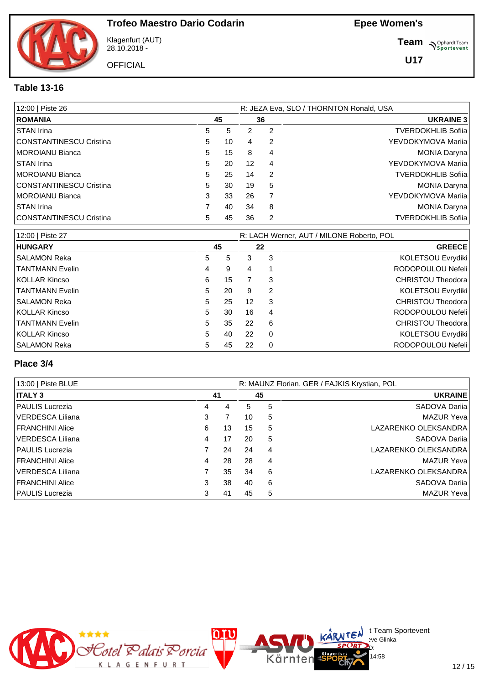Klagenfurt (AUT) 28.10.2018 -

**OFFICIAL** 

**Team** *S<sup>Ophardt Team*<br> *S*<sup>P</sup> Sportevent</sup>

**U17**

#### **Table 13-16**

| 12:00   Piste 26               | R: JEZA Eva, SLO / THORNTON Ronald, USA |    |    |    |                           |  |  |  |  |
|--------------------------------|-----------------------------------------|----|----|----|---------------------------|--|--|--|--|
| <b>ROMANIA</b>                 |                                         | 45 |    | 36 | <b>UKRAINE 3</b>          |  |  |  |  |
| STAN Irina                     | 5                                       | 5  | 2  | 2  | <b>TVERDOKHLIB Sofija</b> |  |  |  |  |
| <b>CONSTANTINESCU Cristina</b> | 5                                       | 10 | 4  | 2  | YEVDOKYMOVA Marija        |  |  |  |  |
| <b>MOROIANU Bianca</b>         | 5                                       | 15 | 8  | 4  | <b>MONIA Daryna</b>       |  |  |  |  |
| STAN Irina                     | 5                                       | 20 | 12 | 4  | YEVDOKYMOVA Marija        |  |  |  |  |
| <b>MOROIANU Bianca</b>         | 5                                       | 25 | 14 | 2  | <b>TVERDOKHLIB Sofija</b> |  |  |  |  |
| <b>CONSTANTINESCU Cristina</b> | 5                                       | 30 | 19 | 5  | <b>MONIA Daryna</b>       |  |  |  |  |
| <b>MOROIANU Bianca</b>         | 3                                       | 33 | 26 | 7  | YEVDOKYMOVA Marija        |  |  |  |  |
| STAN Irina                     |                                         | 40 | 34 | 8  | <b>MONIA Daryna</b>       |  |  |  |  |
| <b>CONSTANTINESCU Cristina</b> | 5                                       | 45 | 36 | 2  | <b>TVERDOKHLIB Sofija</b> |  |  |  |  |

| 12:00   Piste 27       |   |    | R: LACH Werner, AUT / MILONE Roberto, POL |          |                          |  |  |  |  |
|------------------------|---|----|-------------------------------------------|----------|--------------------------|--|--|--|--|
| <b>HUNGARY</b>         |   | 45 |                                           | 22       | <b>GREECE</b>            |  |  |  |  |
| SALAMON Reka           | 5 | 5  | 3                                         | 3        | KOLETSOU Evrydiki        |  |  |  |  |
| <b>TANTMANN Evelin</b> | 4 | 9  | 4                                         |          | RODOPOULOU Nefeli        |  |  |  |  |
| KOLLAR Kincso          | 6 | 15 |                                           | 3        | <b>CHRISTOU Theodora</b> |  |  |  |  |
| <b>TANTMANN Evelin</b> | 5 | 20 | 9                                         | 2        | KOLETSOU Evrydiki        |  |  |  |  |
| SALAMON Reka           | 5 | 25 | $12 \overline{ }$                         | 3        | CHRISTOU Theodora        |  |  |  |  |
| KOLLAR Kincso          | 5 | 30 | 16                                        | 4        | RODOPOULOU Nefeli        |  |  |  |  |
| <b>TANTMANN Evelin</b> | 5 | 35 | 22                                        | 6        | CHRISTOU Theodora        |  |  |  |  |
| KOLLAR Kincso          | 5 | 40 | 22                                        | $\Omega$ | KOLETSOU Evrydiki        |  |  |  |  |
| SALAMON Reka           | 5 | 45 | 22                                        | 0        | RODOPOULOU Nefeli        |  |  |  |  |

#### **Place 3/4**

| 13:00   Piste BLUE     |   |    | R: MAUNZ Florian, GER / FAJKIS Krystian, POL |   |                      |  |  |  |
|------------------------|---|----|----------------------------------------------|---|----------------------|--|--|--|
| <b>ITALY 3</b>         |   | 41 | 45                                           |   | <b>UKRAINE</b>       |  |  |  |
| <b>PAULIS Lucrezia</b> | 4 | 4  | 5                                            | 5 | SADOVA Darija        |  |  |  |
| VERDESCA Liliana       | 3 |    | 10                                           | 5 | <b>MAZUR Yeva</b>    |  |  |  |
| FRANCHINI Alice        | 6 | 13 | 15                                           | 5 | LAZARENKO OLEKSANDRA |  |  |  |
| l VERDESCA Liliana     | 4 | 17 | 20                                           | 5 | SADOVA Darija        |  |  |  |
| <b>PAULIS Lucrezia</b> |   | 24 | 24                                           | 4 | LAZARENKO OLEKSANDRA |  |  |  |
| FRANCHINI Alice        | 4 | 28 | 28                                           | 4 | <b>MAZUR Yeva</b>    |  |  |  |
| l VERDESCA Liliana     |   | 35 | 34                                           | 6 | LAZARENKO OLEKSANDRA |  |  |  |
| FRANCHINI Alice        | 3 | 38 | 40                                           | 6 | SADOVA Darija        |  |  |  |
| <b>PAULIS Lucrezia</b> | 3 | 41 | 45                                           | 5 | <b>MAZUR Yeva</b>    |  |  |  |



 $\bigcup_{v \in \mathcal{F}} \mathsf{Id}$  t Team Sportevent

14:58

**N'Y'License:** Bye Glinka  $SPCRD<sub>D</sub>$ 

Kärnten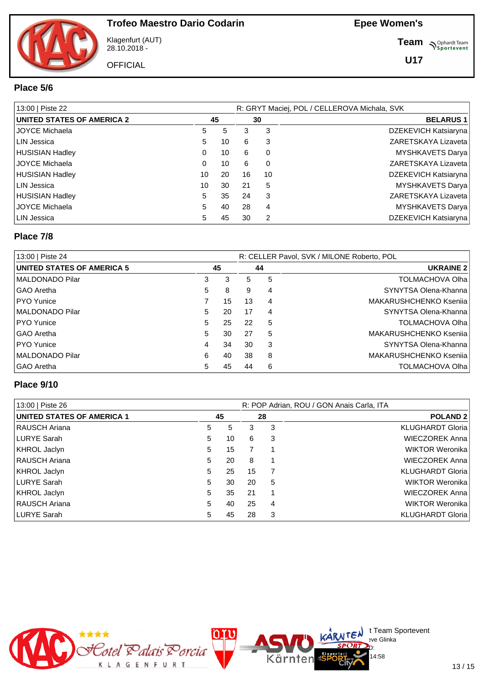

Klagenfurt (AUT) 28.10.2018 -

**OFFICIAL** 

**Team** *S<sup>Ophardt Team*<br> *S*<sup>P</sup> Sportevent</sup>

**U17**

#### **Place 5/6**

| 13:00   Piste 22                  |          |    |    |          | R: GRYT Maciej, POL / CELLEROVA Michala, SVK |
|-----------------------------------|----------|----|----|----------|----------------------------------------------|
| <b>UNITED STATES OF AMERICA 2</b> |          | 45 |    | 30       | <b>BELARUS1</b>                              |
| JOYCE Michaela                    | 5        | 5  | 3  | 3        | DZEKEVICH Katsiaryna                         |
| LIN Jessica                       | 5        | 10 | 6  | 3        | ZARETSKAYA Lizaveta                          |
| HUSISIAN Hadley                   | 0        | 10 | 6  | 0        | <b>MYSHKAVETS Darya</b>                      |
| I JOYCE Michaela                  | $\Omega$ | 10 | 6  | $\Omega$ | ZARETSKAYA Lizaveta                          |
| HUSISIAN Hadley                   | 10       | 20 | 16 | 10       | DZEKEVICH Katsiaryna                         |
| LIN Jessica                       | 10       | 30 | 21 | 5        | <b>MYSHKAVETS Darya</b>                      |
| HUSISIAN Hadley                   | 5        | 35 | 24 | 3        | ZARETSKAYA Lizaveta                          |
| <b>JOYCE Michaela</b>             | 5        | 40 | 28 | 4        | <b>MYSHKAVETS Darya</b>                      |
| LIN Jessica                       | 5        | 45 | 30 | 2        | DZEKEVICH Katsiaryna                         |

#### **Place 7/8**

| 13:00   Piste 24                  |   |    |    |    | R: CELLER Pavol, SVK / MILONE Roberto, POL |
|-----------------------------------|---|----|----|----|--------------------------------------------|
| <b>UNITED STATES OF AMERICA 5</b> |   | 45 |    | 44 | <b>UKRAINE 2</b>                           |
| MALDONADO Pilar                   | 3 | 3  | 5  | 5  | <b>TOLMACHOVA Olha</b>                     |
| l GAO Aretha                      | 5 | 8  | 9  | 4  | SYNYTSA Olena-Khanna                       |
| <b>PYO Yunice</b>                 |   | 15 | 13 | 4  | MAKARUSHCHENKO Kseniia                     |
| MALDONADO Pilar                   | 5 | 20 | 17 | 4  | SYNYTSA Olena-Khanna                       |
| <b>PYO Yunice</b>                 | 5 | 25 | 22 | 5  | <b>TOLMACHOVA Olha</b>                     |
| I GAO Aretha                      | 5 | 30 | 27 | 5  | MAKARUSHCHENKO Ksenija                     |
| <b>PYO Yunice</b>                 | 4 | 34 | 30 | 3  | SYNYTSA Olena-Khanna                       |
| MALDONADO Pilar                   | 6 | 40 | 38 | 8  | MAKARUSHCHENKO Ksenija                     |
| I GAO Aretha                      | 5 | 45 | 44 | 6  | <b>TOLMACHOVA Olha</b>                     |

#### **Place 9/10**

| 13:00   Piste 26           |    |    |    |   | R: POP Adrian, ROU / GON Anais Carla, ITA |
|----------------------------|----|----|----|---|-------------------------------------------|
| UNITED STATES OF AMERICA 1 |    | 45 | 28 |   | <b>POLAND 2</b>                           |
| <b>RAUSCH Ariana</b>       | 5. | 5  | 3  | 3 | <b>KLUGHARDT Gloria</b>                   |
| LURYE Sarah                | 5. | 10 | 6  | 3 | <b>WIECZOREK Anna</b>                     |
| KHROL Jaclyn               | 5. | 15 |    |   | WIKTOR Weronika                           |
| <b>RAUSCH Ariana</b>       | 5. | 20 | 8  | 1 | <b>WIECZOREK Anna</b>                     |
| KHROL Jaclyn               | 5. | 25 | 15 |   | <b>KLUGHARDT Gloria</b>                   |
| LURYE Sarah                | 5. | 30 | 20 | 5 | WIKTOR Weronika                           |
| KHROL Jaclyn               | 5  | 35 | 21 | 1 | WIECZOREK Anna                            |
| RAUSCH Ariana              | 5. | 40 | 25 | 4 | WIKTOR Weronika                           |
| LURYE Sarah                | 5  | 45 | 28 | 3 | <b>KLUGHARDT Gloria</b>                   |

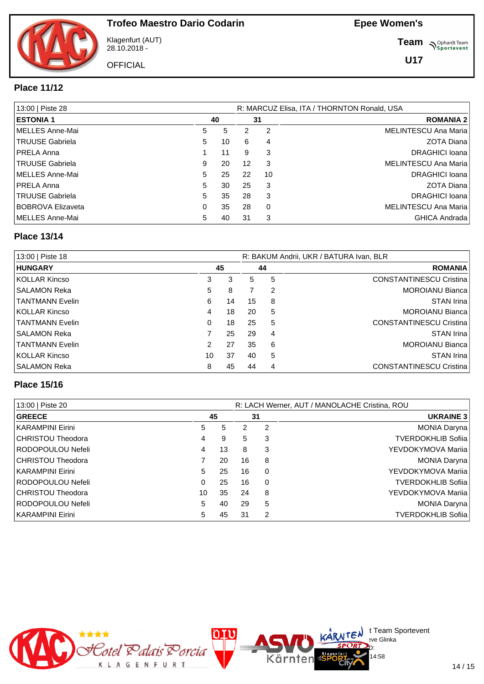

Klagenfurt (AUT) 28.10.2018 -

**OFFICIAL** 

**Team** *S<sup>Ophardt Team*<br> *S*<sup>P</sup> Sportevent</sup>

**U17**

#### **Place 11/12**

| 13:00   Piste 28         |    |    |    |          | R: MARCUZ Elisa, ITA / THORNTON Ronald, USA |
|--------------------------|----|----|----|----------|---------------------------------------------|
| <b>ESTONIA 1</b>         |    | 40 |    | 31       | <b>ROMANIA 2</b>                            |
| MELLES Anne-Mai          | 5  | 5  | 2  | 2        | MELINTESCU Ana Maria                        |
| <b>TRUUSE Gabriela</b>   | 5  | 10 | 6  | 4        | ZOTA Diana                                  |
| <b>IPRELA Anna</b>       |    | 11 | 9  | 3        | DRAGHICI Ioana                              |
| TRUUSE Gabriela          | 9  | 20 | 12 | 3        | MELINTESCU Ana Maria                        |
| MELLES Anne-Mai          | 5. | 25 | 22 | 10       | DRAGHICI Ioana                              |
| <b>IPRELA Anna</b>       | 5  | 30 | 25 | 3        | <b>ZOTA Diana</b>                           |
| <b>TRUUSE Gabriela</b>   | 5. | 35 | 28 | 3        | DRAGHICI Ioana                              |
| <b>BOBROVA Elizaveta</b> | 0  | 35 | 28 | $\Omega$ | MELINTESCU Ana Maria                        |
| MELLES Anne-Mai          | 5  | 40 | 31 | 3        | GHICA Andrada                               |

#### **Place 13/14**

| 13:00   Piste 18       |    |    |    |    | R: BAKUM Andrii, UKR / BATURA Ivan, BLR |
|------------------------|----|----|----|----|-----------------------------------------|
| <b>HUNGARY</b>         |    | 45 |    | 44 | <b>ROMANIA</b>                          |
| KOLLAR Kincso          | 3  | 3  | 5. | 5  | <b>CONSTANTINESCU Cristina</b>          |
| SALAMON Reka           | 5  | 8  |    | 2  | <b>MOROIANU Bianca</b>                  |
| <b>TANTMANN Evelin</b> | 6  | 14 | 15 | 8  | <b>STAN Irina</b>                       |
| KOLLAR Kincso          | 4  | 18 | 20 | 5  | <b>MOROIANU Bianca</b>                  |
| TANTMANN Evelin        | 0  | 18 | 25 | 5  | <b>CONSTANTINESCU Cristina</b>          |
| SALAMON Reka           |    | 25 | 29 | 4  | <b>STAN Irina</b>                       |
| TANTMANN Evelin        | 2  | 27 | 35 | 6  | <b>MOROIANU Bianca</b>                  |
| KOLLAR Kincso          | 10 | 37 | 40 | 5  | <b>STAN Irina</b>                       |
| SALAMON Reka           | 8  | 45 | 44 | 4  | <b>CONSTANTINESCU Cristina</b>          |

#### **Place 15/16**

| 13:00   Piste 20  |    |    |    |          | R: LACH Werner, AUT / MANOLACHE Cristina, ROU |
|-------------------|----|----|----|----------|-----------------------------------------------|
| <b>GREECE</b>     |    | 45 |    | 31       | <b>UKRAINE 3</b>                              |
| KARAMPINI Eirini  | 5. | 5  | 2  | 2        | MONIA Daryna                                  |
| CHRISTOU Theodora | 4  | 9  | 5  | 3        | <b>TVERDOKHLIB Sofiia</b>                     |
| RODOPOULOU Nefeli | 4  | 13 | 8  | 3        | YEVDOKYMOVA Mariia                            |
| CHRISTOU Theodora |    | 20 | 16 | 8        | MONIA Daryna                                  |
| KARAMPINI Eirini  | 5  | 25 | 16 | 0        | YEVDOKYMOVA Mariia                            |
| RODOPOULOU Nefeli | 0  | 25 | 16 | $\Omega$ | <b>TVERDOKHLIB Sofiia</b>                     |
| CHRISTOU Theodora | 10 | 35 | 24 | 8        | YEVDOKYMOVA Mariia                            |
| RODOPOULOU Nefeli | 5. | 40 | 29 | 5        | MONIA Daryna                                  |
| KARAMPINI Eirini  | 5  | 45 | 31 | 2        | <b>TVERDOKHLIB Sofiia</b>                     |

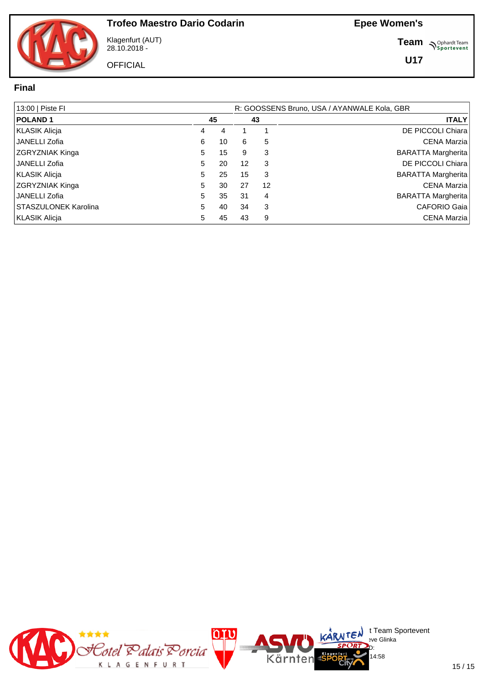Klagenfurt (AUT) 28.10.2018 -

**OFFICIAL** 

**Team** *S<sup>Ophardt Team*<br>*S*<sup>P</sup> *Sportevent*</sup>

#### **Final**

| 13:00   Piste FI            |    |    | R: GOOSSENS Bruno, USA / AYANWALE Kola, GBR |              |                           |  |  |  |  |  |  |  |
|-----------------------------|----|----|---------------------------------------------|--------------|---------------------------|--|--|--|--|--|--|--|
| <b>POLAND1</b>              | 45 |    | 43                                          | <b>ITALY</b> |                           |  |  |  |  |  |  |  |
| <b>KLASIK Alicja</b>        | 4  | 4  |                                             |              | DE PICCOLI Chiara         |  |  |  |  |  |  |  |
| <b>JANELLI Zofia</b>        | 6  | 10 | 6                                           | 5            | CENA Marzia               |  |  |  |  |  |  |  |
| <b>ZGRYZNIAK Kinga</b>      | 5  | 15 | 9                                           | 3            | <b>BARATTA Margherita</b> |  |  |  |  |  |  |  |
| <b>JANELLI Zofia</b>        | 5. | 20 | 12                                          | 3            | DE PICCOLI Chiara         |  |  |  |  |  |  |  |
| <b>KLASIK Alicja</b>        | 5  | 25 | 15                                          | 3            | BARATTA Margherita        |  |  |  |  |  |  |  |
| <b>ZGRYZNIAK Kinga</b>      | 5. | 30 | 27                                          | 12           | <b>CENA Marzia</b>        |  |  |  |  |  |  |  |
| <b>JANELLI Zofia</b>        | 5  | 35 | 31                                          | 4            | <b>BARATTA Margherita</b> |  |  |  |  |  |  |  |
| <b>STASZULONEK Karolina</b> | 5  | 40 | 34                                          | 3            | CAFORIO Gaia              |  |  |  |  |  |  |  |
| KLASIK Alicia               | 5  | 45 | 43                                          | 9            | <b>CENA Marzia</b>        |  |  |  |  |  |  |  |

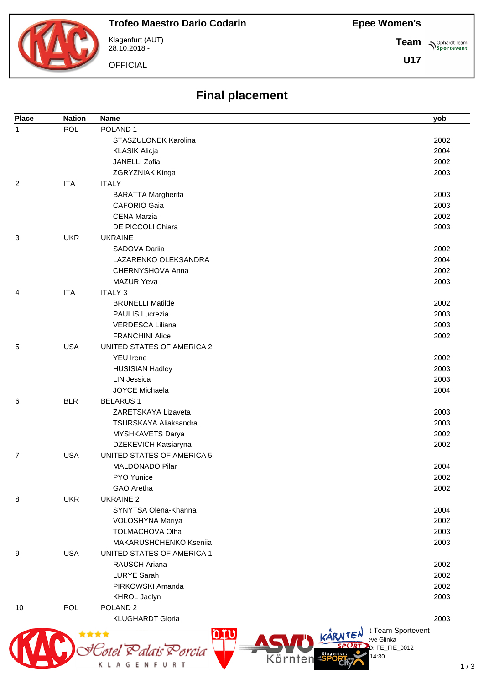#### **Epee Women's**

**Team**

**U17**

**Sportevent** 



Klagenfurt (AUT) 28.10.2018 -

K L A G E N F U R T

**OFFICIAL** 

# **Final placement**

| <b>Place</b> | <b>Nation</b> | <b>Name</b>                | yob                          |
|--------------|---------------|----------------------------|------------------------------|
| 1            | POL           | POLAND <sub>1</sub>        |                              |
|              |               | STASZULONEK Karolina       | 2002                         |
|              |               | <b>KLASIK Alicja</b>       | 2004                         |
|              |               | <b>JANELLI Zofia</b>       | 2002                         |
|              |               | ZGRYZNIAK Kinga            | 2003                         |
| 2            | <b>ITA</b>    | <b>ITALY</b>               |                              |
|              |               | <b>BARATTA Margherita</b>  | 2003                         |
|              |               | <b>CAFORIO Gaia</b>        | 2003                         |
|              |               | <b>CENA Marzia</b>         | 2002                         |
|              |               | DE PICCOLI Chiara          | 2003                         |
| 3            | <b>UKR</b>    | <b>UKRAINE</b>             |                              |
|              |               | SADOVA Dariia              | 2002                         |
|              |               | LAZARENKO OLEKSANDRA       | 2004                         |
|              |               | CHERNYSHOVA Anna           | 2002                         |
|              |               | <b>MAZUR Yeva</b>          | 2003                         |
| 4            | <b>ITA</b>    | <b>ITALY 3</b>             |                              |
|              |               | <b>BRUNELLI Matilde</b>    | 2002                         |
|              |               | <b>PAULIS Lucrezia</b>     | 2003                         |
|              |               | <b>VERDESCA Liliana</b>    | 2003                         |
|              |               | <b>FRANCHINI Alice</b>     | 2002                         |
| 5            | <b>USA</b>    | UNITED STATES OF AMERICA 2 |                              |
|              |               | <b>YEU Irene</b>           | 2002                         |
|              |               | <b>HUSISIAN Hadley</b>     | 2003                         |
|              |               | <b>LIN Jessica</b>         | 2003                         |
|              |               | <b>JOYCE Michaela</b>      | 2004                         |
| 6            | <b>BLR</b>    | <b>BELARUS1</b>            |                              |
|              |               | ZARETSKAYA Lizaveta        | 2003                         |
|              |               | TSURSKAYA Aliaksandra      | 2003                         |
|              |               | MYSHKAVETS Darya           | 2002                         |
|              |               | DZEKEVICH Katsiaryna       | 2002                         |
| 7            | <b>USA</b>    | UNITED STATES OF AMERICA 5 |                              |
|              |               | MALDONADO Pilar            | 2004                         |
|              |               | PYO Yunice                 | 2002                         |
|              |               | GAO Aretha                 | 2002                         |
| 8            | <b>UKR</b>    | <b>UKRAINE 2</b>           |                              |
|              |               | SYNYTSA Olena-Khanna       | 2004                         |
|              |               | VOLOSHYNA Mariya           | 2002                         |
|              |               | TOLMACHOVA Olha            | 2003                         |
|              |               | MAKARUSHCHENKO Kseniia     | 2003                         |
| 9            | <b>USA</b>    | UNITED STATES OF AMERICA 1 |                              |
|              |               | <b>RAUSCH Ariana</b>       | 2002                         |
|              |               | <b>LURYE Sarah</b>         | 2002                         |
|              |               | PIRKOWSKI Amanda           | 2002                         |
|              |               | KHROL Jaclyn               | 2003                         |
| 10           | <b>POL</b>    | POLAND <sub>2</sub>        |                              |
|              |               | <b>KLUGHARDT Gloria</b>    | 2003                         |
|              |               |                            | t Team Sportevent<br>KARNTEN |
|              |               |                            | eve Glinka                   |
|              |               | Eotel Palais Porcia        | $D: FE_FIE_0012$<br>14:30    |

Kärnten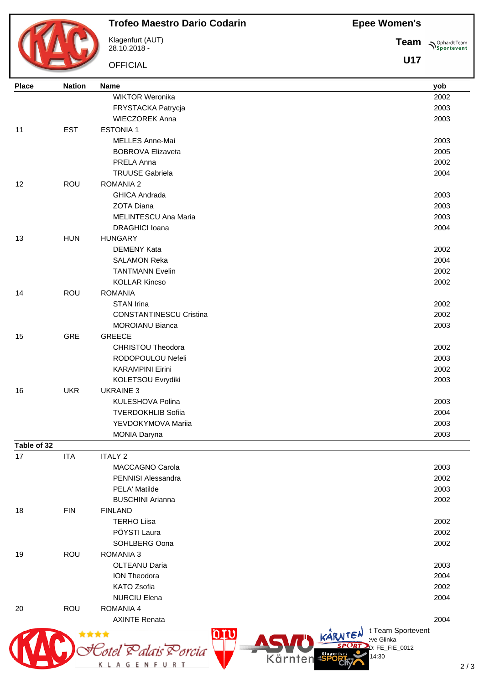**Epee Women's**



## **Trofeo Maestro Dario Codarin**

Klagenfurt (AUT) 28.10.2018 -

OFFICIAL

**Team Sportevent** 

| <b>Place</b> | <b>Nation</b> | <b>Name</b>                                               | yob  |
|--------------|---------------|-----------------------------------------------------------|------|
|              |               | <b>WIKTOR Weronika</b>                                    | 2002 |
|              |               | FRYSTACKA Patrycja                                        | 2003 |
|              |               | <b>WIECZOREK Anna</b>                                     | 2003 |
| 11           | <b>EST</b>    | <b>ESTONIA1</b>                                           |      |
|              |               | MELLES Anne-Mai                                           | 2003 |
|              |               | <b>BOBROVA Elizaveta</b>                                  | 2005 |
|              |               | PRELA Anna                                                | 2002 |
|              |               | <b>TRUUSE Gabriela</b>                                    | 2004 |
| 12           | ROU           | <b>ROMANIA 2</b>                                          |      |
|              |               | <b>GHICA Andrada</b>                                      | 2003 |
|              |               | <b>ZOTA Diana</b>                                         | 2003 |
|              |               | MELINTESCU Ana Maria                                      | 2003 |
|              |               | <b>DRAGHICI Ioana</b>                                     | 2004 |
| 13           | <b>HUN</b>    | <b>HUNGARY</b>                                            |      |
|              |               | <b>DEMENY Kata</b>                                        | 2002 |
|              |               | <b>SALAMON Reka</b>                                       | 2004 |
|              |               | <b>TANTMANN Evelin</b>                                    | 2002 |
|              |               | <b>KOLLAR Kincso</b>                                      | 2002 |
| 14           | ROU           | <b>ROMANIA</b>                                            |      |
|              |               | <b>STAN Irina</b>                                         | 2002 |
|              |               | <b>CONSTANTINESCU Cristina</b>                            | 2002 |
|              |               | <b>MOROIANU Bianca</b>                                    | 2003 |
| 15           | <b>GRE</b>    | GREECE                                                    |      |
|              |               | <b>CHRISTOU Theodora</b>                                  | 2002 |
|              |               | RODOPOULOU Nefeli                                         | 2003 |
|              |               | <b>KARAMPINI Eirini</b>                                   | 2002 |
|              |               | KOLETSOU Evrydiki                                         | 2003 |
| 16           | <b>UKR</b>    | <b>UKRAINE 3</b>                                          |      |
|              |               | KULESHOVA Polina                                          | 2003 |
|              |               | <b>TVERDOKHLIB Sofiia</b>                                 | 2004 |
|              |               | YEVDOKYMOVA Mariia                                        | 2003 |
|              |               | <b>MONIA Daryna</b>                                       | 2003 |
| Table of 32  |               |                                                           |      |
| 17           | <b>ITA</b>    | <b>ITALY 2</b>                                            |      |
|              |               | MACCAGNO Carola                                           | 2003 |
|              |               | PENNISI Alessandra                                        | 2002 |
|              |               | PELA' Matilde                                             | 2003 |
|              |               | <b>BUSCHINI Arianna</b>                                   | 2002 |
| 18           | <b>FIN</b>    | <b>FINLAND</b>                                            |      |
|              |               | <b>TERHO Liisa</b>                                        | 2002 |
|              |               | PÖYSTI Laura                                              | 2002 |
|              |               | SOHLBERG Oona                                             | 2002 |
| 19           | ROU           | <b>ROMANIA 3</b>                                          |      |
|              |               | <b>OLTEANU Daria</b>                                      | 2003 |
|              |               | <b>ION Theodora</b>                                       | 2004 |
|              |               | KATO Zsofia                                               | 2002 |
|              |               | <b>NURCIU Elena</b>                                       | 2004 |
| 20           | ROU           | ROMANIA 4                                                 |      |
|              |               | <b>AXINTE Renata</b>                                      | 2004 |
|              |               | t Team Sportevent<br>nru<br>KARNTEN<br>医室室宫<br>eve Glinka |      |
|              |               | D: FE_FIE_0012                                            |      |
|              |               | <sup>o</sup> rcia<br>Kärnten<br>14:30                     |      |
|              |               | <b>KLAGENFURT</b>                                         | 2/   |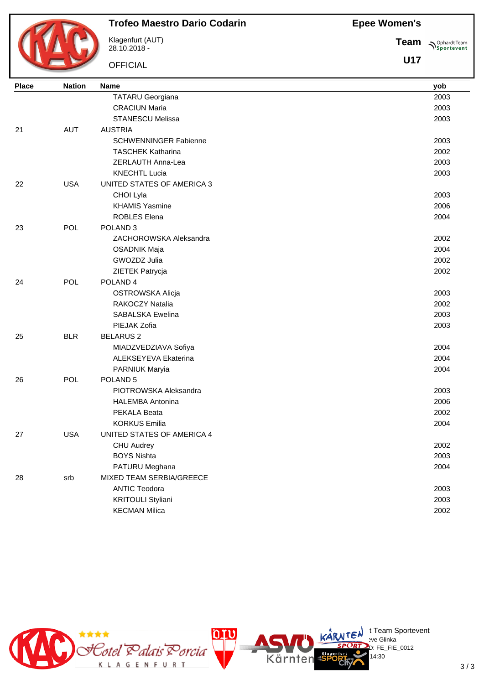**Epee Women's**



# **Trofeo Maestro Dario Codarin**

Klagenfurt (AUT) 28.10.2018 -

**OFFICIAL** 

**Team Sportevent** 

| <b>Place</b> | <b>Nation</b> | <b>Name</b>                  | yob  |
|--------------|---------------|------------------------------|------|
|              |               | <b>TATARU Georgiana</b>      | 2003 |
|              |               | <b>CRACIUN Maria</b>         | 2003 |
|              |               | <b>STANESCU Melissa</b>      | 2003 |
| 21           | <b>AUT</b>    | <b>AUSTRIA</b>               |      |
|              |               | <b>SCHWENNINGER Fabienne</b> | 2003 |
|              |               | <b>TASCHEK Katharina</b>     | 2002 |
|              |               | ZERLAUTH Anna-Lea            | 2003 |
|              |               | <b>KNECHTL Lucia</b>         | 2003 |
| 22           | <b>USA</b>    | UNITED STATES OF AMERICA 3   |      |
|              |               | CHOI Lyla                    | 2003 |
|              |               | <b>KHAMIS Yasmine</b>        | 2006 |
|              |               | <b>ROBLES Elena</b>          | 2004 |
| 23           | POL           | POLAND <sub>3</sub>          |      |
|              |               | ZACHOROWSKA Aleksandra       | 2002 |
|              |               | <b>OSADNIK Maja</b>          | 2004 |
|              |               | GWOZDZ Julia                 | 2002 |
|              |               | ZIETEK Patrycja              | 2002 |
| 24           | POL           | POLAND <sub>4</sub>          |      |
|              |               | OSTROWSKA Alicja             | 2003 |
|              |               | RAKOCZY Natalia              | 2002 |
|              |               | <b>SABALSKA Ewelina</b>      | 2003 |
|              |               | PIEJAK Zofia                 | 2003 |
| 25           | <b>BLR</b>    | <b>BELARUS 2</b>             |      |
|              |               | MIADZVEDZIAVA Sofiya         | 2004 |
|              |               | ALEKSEYEVA Ekaterina         | 2004 |
|              |               | PARNIUK Maryia               | 2004 |
| 26           | POL           | POLAND <sub>5</sub>          |      |
|              |               | PIOTROWSKA Aleksandra        | 2003 |
|              |               | <b>HALEMBA Antonina</b>      | 2006 |
|              |               | PEKALA Beata                 | 2002 |
|              |               | <b>KORKUS Emilia</b>         | 2004 |
| 27           | <b>USA</b>    | UNITED STATES OF AMERICA 4   |      |
|              |               | <b>CHU Audrey</b>            | 2002 |
|              |               | <b>BOYS Nishta</b>           | 2003 |
|              |               | PATURU Meghana               | 2004 |
| 28           | srb           | MIXED TEAM SERBIA/GREECE     |      |
|              |               | <b>ANTIC Teodora</b>         | 2003 |
|              |               | <b>KRITOULI Styliani</b>     | 2003 |
|              |               | <b>KECMAN Milica</b>         | 2002 |
|              |               |                              |      |

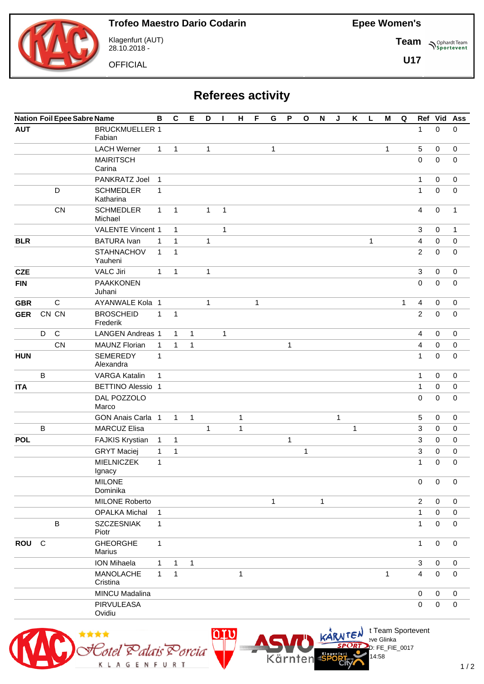**Team**

**U17**

**Sportevent** 



Klagenfurt (AUT) 28.10.2018 -

**OFFICIAL** 

**Referees activity**

|            |              |              | <b>Nation Foil Epee Sabre Name</b> | B            | $\mathbf c$  | E            | D            | L            | н            | F | G | P           | $\mathbf{o}$ | $\boldsymbol{\mathsf{N}}$ | J | K | L | M            | $\mathbf Q$ |                | Ref Vid             | Ass              |
|------------|--------------|--------------|------------------------------------|--------------|--------------|--------------|--------------|--------------|--------------|---|---|-------------|--------------|---------------------------|---|---|---|--------------|-------------|----------------|---------------------|------------------|
| <b>AUT</b> |              |              | <b>BRUCKMUELLER 1</b><br>Fabian    |              |              |              |              |              |              |   |   |             |              |                           |   |   |   |              |             | $\mathbf{1}$   | $\mathbf 0$         | 0                |
|            |              |              | <b>LACH Werner</b>                 | $\mathbf{1}$ | 1            |              | 1            |              |              |   | 1 |             |              |                           |   |   |   | 1            |             | 5              | 0                   | $\mathbf 0$      |
|            |              |              | <b>MAIRITSCH</b><br>Carina         |              |              |              |              |              |              |   |   |             |              |                           |   |   |   |              |             | $\mathbf 0$    | 0                   | 0                |
|            |              |              | PANKRATZ Joel                      | $\mathbf{1}$ |              |              |              |              |              |   |   |             |              |                           |   |   |   |              |             | 1              | $\mathbf 0$         | 0                |
|            |              | D            | <b>SCHMEDLER</b><br>Katharina      | 1            |              |              |              |              |              |   |   |             |              |                           |   |   |   |              |             | $\mathbf{1}$   | $\mathbf 0$         | 0                |
|            |              | CN           | <b>SCHMEDLER</b><br>Michael        | $\mathbf{1}$ | $\mathbf{1}$ |              | 1            | $\mathbf{1}$ |              |   |   |             |              |                           |   |   |   |              |             | 4              | $\pmb{0}$           | 1                |
|            |              |              | <b>VALENTE Vincent 1</b>           |              | $\mathbf{1}$ |              |              | 1            |              |   |   |             |              |                           |   |   |   |              |             | $\mathbf{3}$   | $\mathbf 0$         | 1                |
| <b>BLR</b> |              |              | <b>BATURA</b> Ivan                 | $\mathbf{1}$ | 1            |              | 1            |              |              |   |   |             |              |                           |   |   | 1 |              |             | 4              | $\mathbf 0$         | $\mathbf 0$      |
|            |              |              | <b>STAHNACHOV</b><br>Yauheni       | $\mathbf{1}$ | 1            |              |              |              |              |   |   |             |              |                           |   |   |   |              |             | 2              | $\mathbf 0$         | 0                |
| <b>CZE</b> |              |              | <b>VALC Jiri</b>                   | 1            | $\mathbf{1}$ |              | 1            |              |              |   |   |             |              |                           |   |   |   |              |             | 3              | $\mathbf 0$         | $\mathbf 0$      |
| <b>FIN</b> |              |              | <b>PAAKKONEN</b><br>Juhani         |              |              |              |              |              |              |   |   |             |              |                           |   |   |   |              |             | 0              | 0                   | $\mathbf 0$      |
| <b>GBR</b> |              | $\mathsf C$  | AYANWALE Kola 1                    |              |              |              | 1            |              |              | 1 |   |             |              |                           |   |   |   |              | 1           | 4              | 0                   | $\pmb{0}$        |
| <b>GER</b> |              | CN CN        | <b>BROSCHEID</b><br>Frederik       | $\mathbf{1}$ | $\mathbf{1}$ |              |              |              |              |   |   |             |              |                           |   |   |   |              |             | $\overline{c}$ | $\mathbf 0$         | $\mathbf 0$      |
|            | D            | $\mathsf{C}$ | <b>LANGEN Andreas 1</b>            |              | $\mathbf{1}$ | $\mathbf{1}$ |              | 1            |              |   |   |             |              |                           |   |   |   |              |             | 4              | $\mathbf 0$         | $\mathbf 0$      |
|            |              | CN           | <b>MAUNZ Florian</b>               | $\mathbf{1}$ | 1            | $\mathbf 1$  |              |              |              |   |   | $\mathbf 1$ |              |                           |   |   |   |              |             | 4              | 0                   | 0                |
| <b>HUN</b> |              |              | <b>SEMEREDY</b><br>Alexandra       | 1            |              |              |              |              |              |   |   |             |              |                           |   |   |   |              |             | 1              | $\mathbf 0$         | 0                |
|            | $\mathsf{B}$ |              | <b>VARGA Katalin</b>               | 1            |              |              |              |              |              |   |   |             |              |                           |   |   |   |              |             | 1              | $\mathbf 0$         | $\mathbf 0$      |
| <b>ITA</b> |              |              | <b>BETTINO Alessio 1</b>           |              |              |              |              |              |              |   |   |             |              |                           |   |   |   |              |             | 1              | 0                   | 0                |
|            |              |              | DAL POZZOLO<br>Marco               |              |              |              |              |              |              |   |   |             |              |                           |   |   |   |              |             | 0              | $\mathbf 0$         | $\mathbf 0$      |
|            |              |              | GON Anais Carla 1                  |              | $\mathbf{1}$ | $\mathbf{1}$ |              |              | $\mathbf 1$  |   |   |             |              |                           | 1 |   |   |              |             | 5              | $\mathbf 0$         | $\mathbf 0$      |
|            | B            |              | <b>MARCUZ Elisa</b>                |              |              |              | $\mathbf{1}$ |              | 1            |   |   |             |              |                           |   | 1 |   |              |             | 3              | $\mathbf 0$         | $\mathbf 0$      |
| <b>POL</b> |              |              | <b>FAJKIS Krystian</b>             | $\mathbf{1}$ | 1            |              |              |              |              |   |   | 1           |              |                           |   |   |   |              |             | 3              | 0                   | 0                |
|            |              |              | <b>GRYT Maciej</b>                 | 1            | 1            |              |              |              |              |   |   |             | 1            |                           |   |   |   |              |             | 3              | 0                   | 0                |
|            |              |              | <b>MIELNICZEK</b><br>Ignacy        | 1            |              |              |              |              |              |   |   |             |              |                           |   |   |   |              |             | 1              | $\mathbf 0$         | 0                |
|            |              |              | <b>MILONE</b><br>Dominika          |              |              |              |              |              |              |   |   |             |              |                           |   |   |   |              |             | 0              | $\mathsf{O}\xspace$ | $\pmb{0}$        |
|            |              |              | <b>MILONE Roberto</b>              |              |              |              |              |              |              |   | 1 |             |              | $\mathbf{1}$              |   |   |   |              |             | $\overline{2}$ | 0                   | $\mathbf 0$      |
|            |              |              | <b>OPALKA Michal</b>               | $\mathbf{1}$ |              |              |              |              |              |   |   |             |              |                           |   |   |   |              |             | 1              | 0                   | 0                |
|            |              | $\, {\bf B}$ | <b>SZCZESNIAK</b><br>Piotr         | $\mathbf{1}$ |              |              |              |              |              |   |   |             |              |                           |   |   |   |              |             | 1              | 0                   | 0                |
| <b>ROU</b> | $\mathsf{C}$ |              | <b>GHEORGHE</b><br>Marius          | $\mathbf{1}$ |              |              |              |              |              |   |   |             |              |                           |   |   |   |              |             | $\mathbf{1}$   | $\mathbf 0$         | $\mathbf 0$      |
|            |              |              | <b>ION Mihaela</b>                 | $\mathbf{1}$ | $\mathbf 1$  | $\mathbf{1}$ |              |              |              |   |   |             |              |                           |   |   |   |              |             | $\mathbf{3}$   | 0                   | $\boldsymbol{0}$ |
|            |              |              | <b>MANOLACHE</b><br>Cristina       | $\mathbf{1}$ | $\mathbf{1}$ |              |              |              | $\mathbf{1}$ |   |   |             |              |                           |   |   |   | $\mathbf{1}$ |             | 4              | $\mathbf 0$         | $\pmb{0}$        |
|            |              |              | <b>MINCU Madalina</b>              |              |              |              |              |              |              |   |   |             |              |                           |   |   |   |              |             | 0              | $\mathbf 0$         | 0                |
|            |              |              | PIRVULEASA<br>Ovidiu               |              |              |              |              |              |              |   |   |             |              |                           |   |   |   |              |             | 0              | $\mathsf{O}\xspace$ | $\pmb{0}$        |



 $\bigcup_{v \in \mathcal{F}} \mathsf{Id}$  t Team Sportevent

14:58

 $D: FE$  FIE 0017

**N'Y'License:** Bye Glinka

Kärnten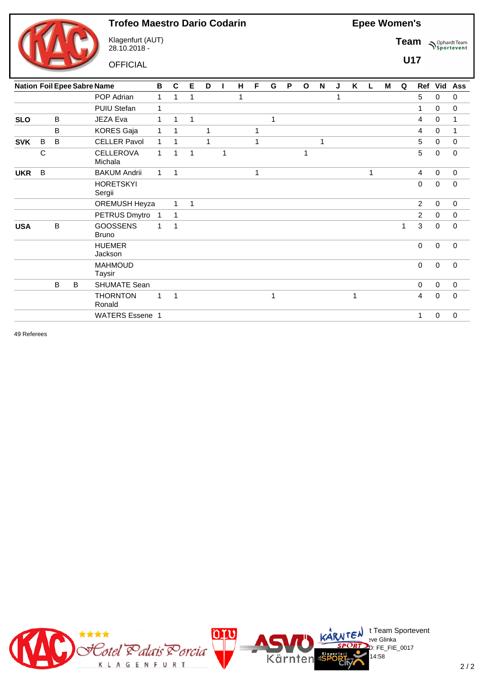

Klagenfurt (AUT) 28.10.2018 -

**OFFICIAL** 

**Epee Women's**

Team  $\bigwedge^{\text{Ophard Team}}_{\text{Sportevent}}$ 

**U17**

|            |             |   |   | <b>Nation Foil Epee Sabre Name</b> | В              | C            | Е | D |   | н | F | G | P | $\mathbf{o}$ | N           | J | Κ | L | M | Q | Ref            | Vid         | Ass          |
|------------|-------------|---|---|------------------------------------|----------------|--------------|---|---|---|---|---|---|---|--------------|-------------|---|---|---|---|---|----------------|-------------|--------------|
|            |             |   |   | POP Adrian                         | $\mathbf{1}$   | 1            | 1 |   |   | 1 |   |   |   |              |             | 1 |   |   |   |   | 5              | $\mathbf 0$ | $\mathbf 0$  |
|            |             |   |   | PUIU Stefan                        | 1              |              |   |   |   |   |   |   |   |              |             |   |   |   |   |   | 1              | $\mathbf 0$ | 0            |
| <b>SLO</b> |             | B |   | JEZA Eva                           | 1              | 1            | 1 |   |   |   |   | 1 |   |              |             |   |   |   |   |   | 4              | 0           | 1            |
|            |             | B |   | <b>KORES Gaja</b>                  | 1              | 1            |   |   |   |   | 1 |   |   |              |             |   |   |   |   |   | 4              | $\mathbf 0$ | $\mathbf{1}$ |
| <b>SVK</b> | B           | B |   | <b>CELLER Pavol</b>                | $\mathbf{1}$   | 1            |   | 1 |   |   | 1 |   |   |              | $\mathbf 1$ |   |   |   |   |   | 5              | $\mathbf 0$ | $\mathbf 0$  |
|            | $\mathsf C$ |   |   | <b>CELLEROVA</b><br>Michala        | $\mathbf{1}$   | 1            | 1 |   | 1 |   |   |   |   | 1            |             |   |   |   |   |   | 5              | 0           | 0            |
| <b>UKR</b> | B           |   |   | <b>BAKUM Andrii</b>                | $\mathbf{1}$   | 1            |   |   |   |   | 1 |   |   |              |             |   |   | 1 |   |   | $\overline{4}$ | $\mathbf 0$ | $\mathbf 0$  |
|            |             |   |   | <b>HORETSKYI</b><br>Sergii         |                |              |   |   |   |   |   |   |   |              |             |   |   |   |   |   | $\Omega$       | $\mathbf 0$ | $\Omega$     |
|            |             |   |   | OREMUSH Heyza                      |                | 1            | 1 |   |   |   |   |   |   |              |             |   |   |   |   |   | $\overline{2}$ | $\mathbf 0$ | $\mathbf 0$  |
|            |             |   |   | PETRUS Dmytro                      | $\overline{1}$ | $\mathbf{1}$ |   |   |   |   |   |   |   |              |             |   |   |   |   |   | $\overline{2}$ | $\Omega$    | $\mathbf 0$  |
| <b>USA</b> |             | B |   | <b>GOOSSENS</b><br><b>Bruno</b>    | 1              | 1            |   |   |   |   |   |   |   |              |             |   |   |   |   | 1 | 3              | $\mathbf 0$ | 0            |
|            |             |   |   | <b>HUEMER</b><br>Jackson           |                |              |   |   |   |   |   |   |   |              |             |   |   |   |   |   | 0              | $\mathbf 0$ | $\mathbf 0$  |
|            |             |   |   | <b>MAHMOUD</b><br>Taysir           |                |              |   |   |   |   |   |   |   |              |             |   |   |   |   |   | $\mathbf 0$    | $\mathbf 0$ | $\mathbf 0$  |
|            |             | B | B | <b>SHUMATE Sean</b>                |                |              |   |   |   |   |   |   |   |              |             |   |   |   |   |   | $\Omega$       | $\Omega$    | $\mathbf 0$  |
|            |             |   |   | <b>THORNTON</b><br>Ronald          | 1              | 1            |   |   |   |   |   | 1 |   |              |             |   |   |   |   |   | 4              | $\Omega$    | $\Omega$     |
|            |             |   |   | <b>WATERS Essene 1</b>             |                |              |   |   |   |   |   |   |   |              |             |   |   |   |   |   | 1              | $\mathbf 0$ | $\mathbf 0$  |
|            |             |   |   |                                    |                |              |   |   |   |   |   |   |   |              |             |   |   |   |   |   |                |             |              |

49 Referees